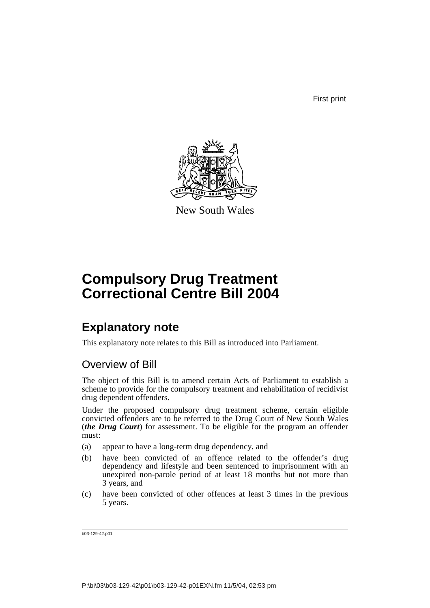First print



New South Wales

# **Compulsory Drug Treatment Correctional Centre Bill 2004**

# **Explanatory note**

This explanatory note relates to this Bill as introduced into Parliament.

# Overview of Bill

The object of this Bill is to amend certain Acts of Parliament to establish a scheme to provide for the compulsory treatment and rehabilitation of recidivist drug dependent offenders.

Under the proposed compulsory drug treatment scheme, certain eligible convicted offenders are to be referred to the Drug Court of New South Wales (*the Drug Court*) for assessment. To be eligible for the program an offender must:

- (a) appear to have a long-term drug dependency, and
- (b) have been convicted of an offence related to the offender's drug dependency and lifestyle and been sentenced to imprisonment with an unexpired non-parole period of at least 18 months but not more than 3 years, and
- (c) have been convicted of other offences at least 3 times in the previous 5 years.

b03-129-42.p01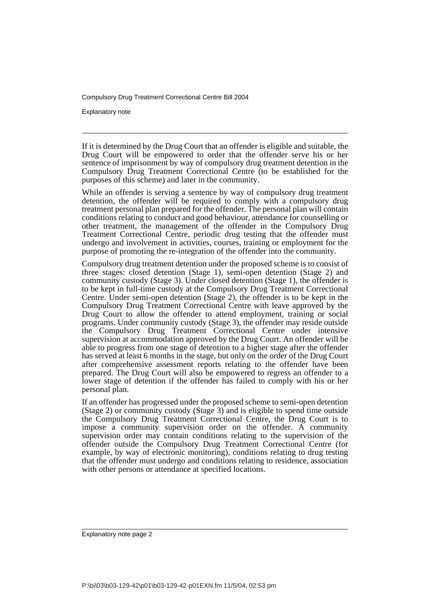Explanatory note

If it is determined by the Drug Court that an offender is eligible and suitable, the Drug Court will be empowered to order that the offender serve his or her sentence of imprisonment by way of compulsory drug treatment detention in the Compulsory Drug Treatment Correctional Centre (to be established for the purposes of this scheme) and later in the community.

While an offender is serving a sentence by way of compulsory drug treatment detention, the offender will be required to comply with a compulsory drug treatment personal plan prepared for the offender. The personal plan will contain conditions relating to conduct and good behaviour, attendance for counselling or other treatment, the management of the offender in the Compulsory Drug Treatment Correctional Centre, periodic drug testing that the offender must undergo and involvement in activities, courses, training or employment for the purpose of promoting the re-integration of the offender into the community.

Compulsory drug treatment detention under the proposed scheme is to consist of three stages: closed detention (Stage 1), semi-open detention (Stage 2) and community custody (Stage 3). Under closed detention (Stage 1), the offender is to be kept in full-time custody at the Compulsory Drug Treatment Correctional Centre. Under semi-open detention (Stage 2), the offender is to be kept in the Compulsory Drug Treatment Correctional Centre with leave approved by the Drug Court to allow the offender to attend employment, training or social programs. Under community custody (Stage 3), the offender may reside outside the Compulsory Drug Treatment Correctional Centre under intensive supervision at accommodation approved by the Drug Court. An offender will be able to progress from one stage of detention to a higher stage after the offender has served at least 6 months in the stage, but only on the order of the Drug Court after comprehensive assessment reports relating to the offender have been prepared. The Drug Court will also be empowered to regress an offender to a lower stage of detention if the offender has failed to comply with his or her personal plan.

If an offender has progressed under the proposed scheme to semi-open detention (Stage 2) or community custody (Stage 3) and is eligible to spend time outside the Compulsory Drug Treatment Correctional Centre, the Drug Court is to impose a community supervision order on the offender. A community supervision order may contain conditions relating to the supervision of the offender outside the Compulsory Drug Treatment Correctional Centre (for example, by way of electronic monitoring), conditions relating to drug testing that the offender must undergo and conditions relating to residence, association with other persons or attendance at specified locations.

Explanatory note page 2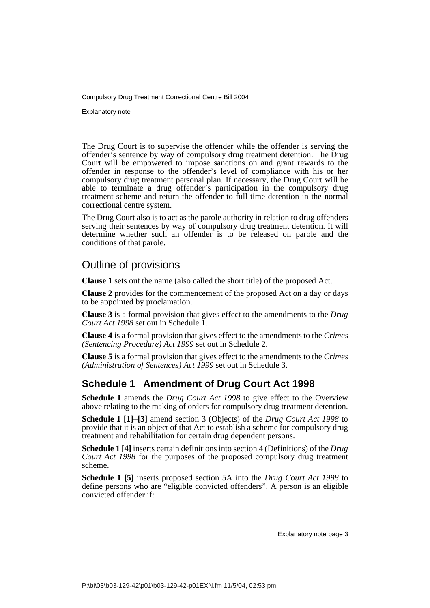Explanatory note

The Drug Court is to supervise the offender while the offender is serving the offender's sentence by way of compulsory drug treatment detention. The Drug Court will be empowered to impose sanctions on and grant rewards to the offender in response to the offender's level of compliance with his or her compulsory drug treatment personal plan. If necessary, the Drug Court will be able to terminate a drug offender's participation in the compulsory drug treatment scheme and return the offender to full-time detention in the normal correctional centre system.

The Drug Court also is to act as the parole authority in relation to drug offenders serving their sentences by way of compulsory drug treatment detention. It will determine whether such an offender is to be released on parole and the conditions of that parole.

# Outline of provisions

**Clause 1** sets out the name (also called the short title) of the proposed Act.

**Clause 2** provides for the commencement of the proposed Act on a day or days to be appointed by proclamation.

**Clause 3** is a formal provision that gives effect to the amendments to the *Drug Court Act 1998* set out in Schedule 1.

**Clause 4** is a formal provision that gives effect to the amendments to the *Crimes (Sentencing Procedure) Act 1999* set out in Schedule 2.

**Clause 5** is a formal provision that gives effect to the amendments to the *Crimes (Administration of Sentences) Act 1999* set out in Schedule 3.

# **Schedule 1 Amendment of Drug Court Act 1998**

**Schedule 1** amends the *Drug Court Act 1998* to give effect to the Overview above relating to the making of orders for compulsory drug treatment detention.

**Schedule 1 [1]–[3]** amend section 3 (Objects) of the *Drug Court Act 1998* to provide that it is an object of that Act to establish a scheme for compulsory drug treatment and rehabilitation for certain drug dependent persons.

**Schedule 1 [4]** inserts certain definitions into section 4 (Definitions) of the *Drug Court Act 1998* for the purposes of the proposed compulsory drug treatment scheme.

**Schedule 1 [5]** inserts proposed section 5A into the *Drug Court Act 1998* to define persons who are "eligible convicted offenders". A person is an eligible convicted offender if:

Explanatory note page 3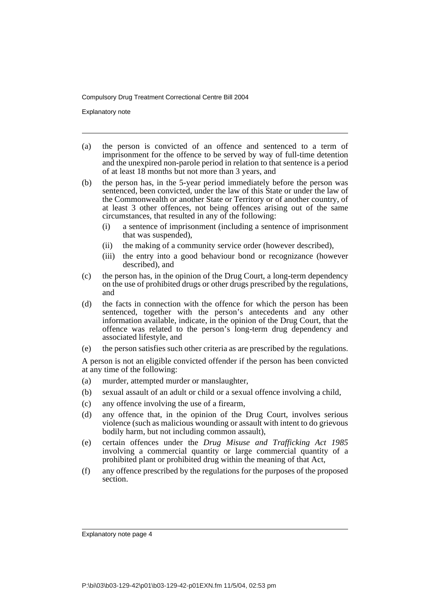Explanatory note

- (a) the person is convicted of an offence and sentenced to a term of imprisonment for the offence to be served by way of full-time detention and the unexpired non-parole period in relation to that sentence is a period of at least 18 months but not more than 3 years, and
- (b) the person has, in the 5-year period immediately before the person was sentenced, been convicted, under the law of this State or under the law of the Commonwealth or another State or Territory or of another country, of at least 3 other offences, not being offences arising out of the same circumstances, that resulted in any of the following:
	- (i) a sentence of imprisonment (including a sentence of imprisonment that was suspended),
	- (ii) the making of a community service order (however described),
	- (iii) the entry into a good behaviour bond or recognizance (however described), and
- (c) the person has, in the opinion of the Drug Court, a long-term dependency on the use of prohibited drugs or other drugs prescribed by the regulations, and
- (d) the facts in connection with the offence for which the person has been sentenced, together with the person's antecedents and any other information available, indicate, in the opinion of the Drug Court, that the offence was related to the person's long-term drug dependency and associated lifestyle, and
- (e) the person satisfies such other criteria as are prescribed by the regulations.

A person is not an eligible convicted offender if the person has been convicted at any time of the following:

- (a) murder, attempted murder or manslaughter,
- (b) sexual assault of an adult or child or a sexual offence involving a child,
- (c) any offence involving the use of a firearm,
- (d) any offence that, in the opinion of the Drug Court, involves serious violence (such as malicious wounding or assault with intent to do grievous bodily harm, but not including common assault),
- (e) certain offences under the *Drug Misuse and Trafficking Act 1985* involving a commercial quantity or large commercial quantity of a prohibited plant or prohibited drug within the meaning of that Act,
- (f) any offence prescribed by the regulations for the purposes of the proposed section.

Explanatory note page 4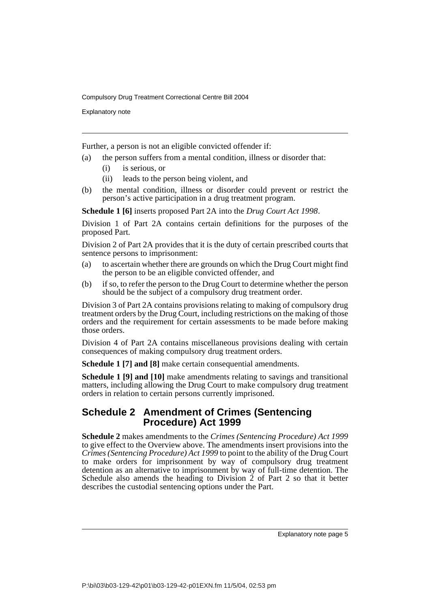Explanatory note

Further, a person is not an eligible convicted offender if:

- (a) the person suffers from a mental condition, illness or disorder that:
	- (i) is serious, or
	- (ii) leads to the person being violent, and
- (b) the mental condition, illness or disorder could prevent or restrict the person's active participation in a drug treatment program.

**Schedule 1 [6]** inserts proposed Part 2A into the *Drug Court Act 1998*.

Division 1 of Part 2A contains certain definitions for the purposes of the proposed Part.

Division 2 of Part 2A provides that it is the duty of certain prescribed courts that sentence persons to imprisonment:

- (a) to ascertain whether there are grounds on which the Drug Court might find the person to be an eligible convicted offender, and
- (b) if so, to refer the person to the Drug Court to determine whether the person should be the subject of a compulsory drug treatment order.

Division 3 of Part 2A contains provisions relating to making of compulsory drug treatment orders by the Drug Court, including restrictions on the making of those orders and the requirement for certain assessments to be made before making those orders.

Division 4 of Part 2A contains miscellaneous provisions dealing with certain consequences of making compulsory drug treatment orders.

**Schedule 1 [7] and [8]** make certain consequential amendments.

**Schedule 1 [9] and [10]** make amendments relating to savings and transitional matters, including allowing the Drug Court to make compulsory drug treatment orders in relation to certain persons currently imprisoned.

## **Schedule 2 Amendment of Crimes (Sentencing Procedure) Act 1999**

**Schedule 2** makes amendments to the *Crimes (Sentencing Procedure) Act 1999* to give effect to the Overview above. The amendments insert provisions into the *Crimes (Sentencing Procedure) Act 1999* to point to the ability of the Drug Court to make orders for imprisonment by way of compulsory drug treatment detention as an alternative to imprisonment by way of full-time detention. The Schedule also amends the heading to Division 2 of Part 2 so that it better describes the custodial sentencing options under the Part.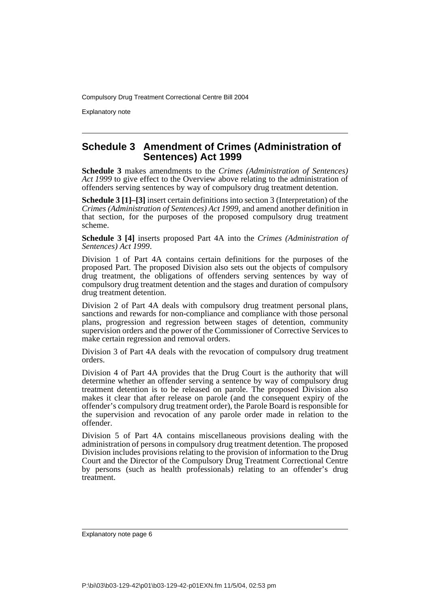Explanatory note

# **Schedule 3 Amendment of Crimes (Administration of Sentences) Act 1999**

**Schedule 3** makes amendments to the *Crimes (Administration of Sentences) Act 1999* to give effect to the Overview above relating to the administration of offenders serving sentences by way of compulsory drug treatment detention.

**Schedule 3 [1]–[3]** insert certain definitions into section 3 (Interpretation) of the *Crimes (Administration of Sentences) Act 1999*, and amend another definition in that section, for the purposes of the proposed compulsory drug treatment scheme.

**Schedule 3 [4]** inserts proposed Part 4A into the *Crimes (Administration of Sentences) Act 1999*.

Division 1 of Part 4A contains certain definitions for the purposes of the proposed Part. The proposed Division also sets out the objects of compulsory drug treatment, the obligations of offenders serving sentences by way of compulsory drug treatment detention and the stages and duration of compulsory drug treatment detention.

Division 2 of Part 4A deals with compulsory drug treatment personal plans, sanctions and rewards for non-compliance and compliance with those personal plans, progression and regression between stages of detention, community supervision orders and the power of the Commissioner of Corrective Services to make certain regression and removal orders.

Division 3 of Part 4A deals with the revocation of compulsory drug treatment orders.

Division 4 of Part 4A provides that the Drug Court is the authority that will determine whether an offender serving a sentence by way of compulsory drug treatment detention is to be released on parole. The proposed Division also makes it clear that after release on parole (and the consequent expiry of the offender's compulsory drug treatment order), the Parole Board is responsible for the supervision and revocation of any parole order made in relation to the offender.

Division 5 of Part 4A contains miscellaneous provisions dealing with the administration of persons in compulsory drug treatment detention. The proposed Division includes provisions relating to the provision of information to the Drug Court and the Director of the Compulsory Drug Treatment Correctional Centre by persons (such as health professionals) relating to an offender's drug treatment.

Explanatory note page 6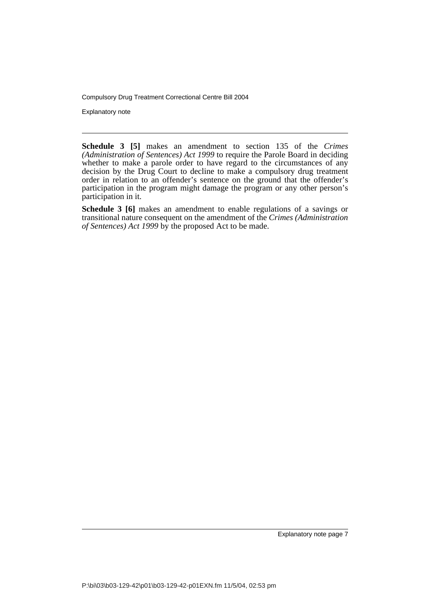Explanatory note

**Schedule 3 [5]** makes an amendment to section 135 of the *Crimes (Administration of Sentences) Act 1999* to require the Parole Board in deciding whether to make a parole order to have regard to the circumstances of any decision by the Drug Court to decline to make a compulsory drug treatment order in relation to an offender's sentence on the ground that the offender's participation in the program might damage the program or any other person's participation in it.

**Schedule 3 [6]** makes an amendment to enable regulations of a savings or transitional nature consequent on the amendment of the *Crimes (Administration of Sentences) Act 1999* by the proposed Act to be made.

Explanatory note page 7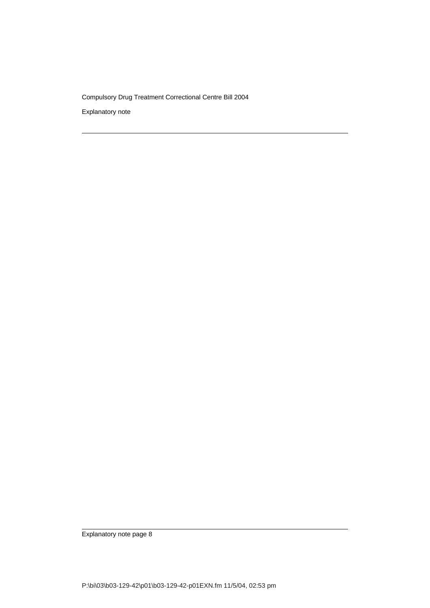Explanatory note

Explanatory note page 8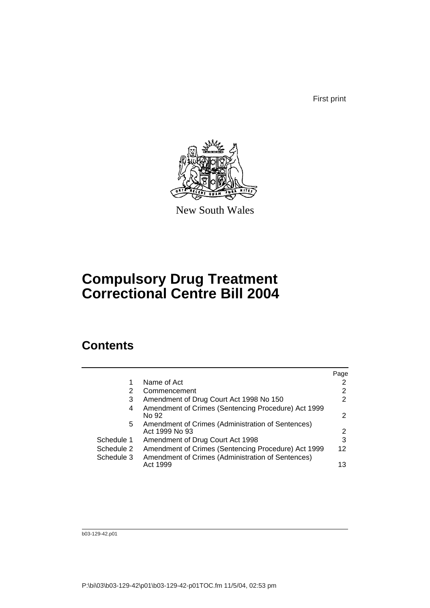First print



New South Wales

# **Compulsory Drug Treatment Correctional Centre Bill 2004**

# **Contents**

|                                                                     | Page                                              |
|---------------------------------------------------------------------|---------------------------------------------------|
| Name of Act                                                         |                                                   |
| Commencement                                                        | 2                                                 |
| Amendment of Drug Court Act 1998 No 150                             | 2                                                 |
| Amendment of Crimes (Sentencing Procedure) Act 1999<br>No 92        | 2                                                 |
| Amendment of Crimes (Administration of Sentences)<br>Act 1999 No 93 | 2                                                 |
| Amendment of Drug Court Act 1998                                    | 3                                                 |
| Amendment of Crimes (Sentencing Procedure) Act 1999                 | 12                                                |
| Act 1999                                                            | 13                                                |
|                                                                     | Amendment of Crimes (Administration of Sentences) |

b03-129-42.p01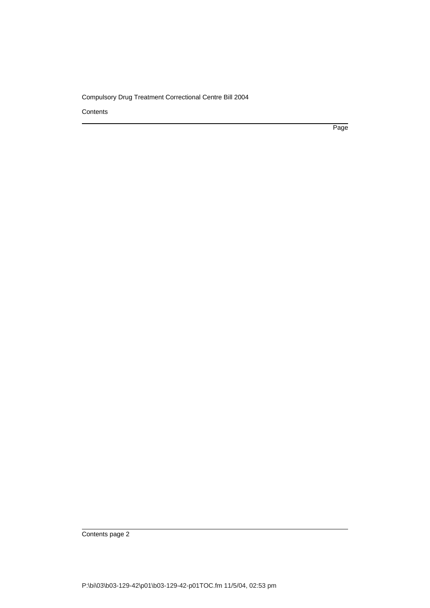**Contents** 

Page

Contents page 2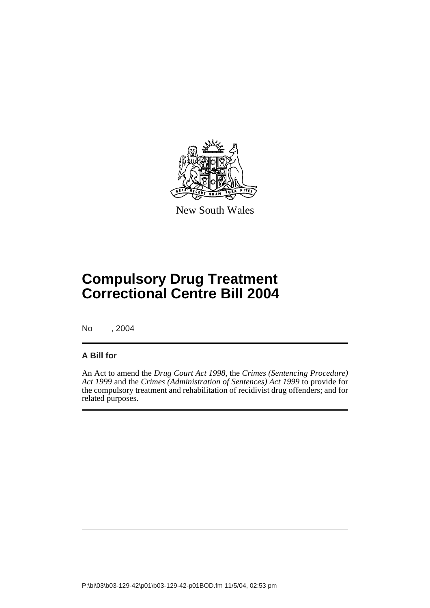

New South Wales

# **Compulsory Drug Treatment Correctional Centre Bill 2004**

No , 2004

## **A Bill for**

An Act to amend the *Drug Court Act 1998*, the *Crimes (Sentencing Procedure) Act 1999* and the *Crimes (Administration of Sentences) Act 1999* to provide for the compulsory treatment and rehabilitation of recidivist drug offenders; and for related purposes.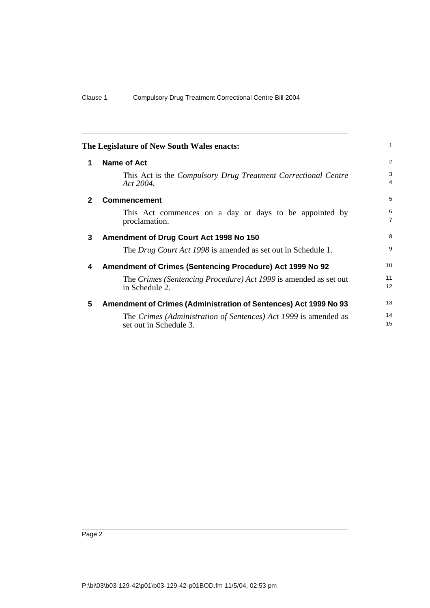<span id="page-11-4"></span><span id="page-11-3"></span><span id="page-11-2"></span><span id="page-11-1"></span><span id="page-11-0"></span>

| The Legislature of New South Wales enacts: |                                                                                           |                     |  |  |  |
|--------------------------------------------|-------------------------------------------------------------------------------------------|---------------------|--|--|--|
| 1                                          | Name of Act                                                                               | 2                   |  |  |  |
|                                            | This Act is the <i>Compulsory Drug Treatment Correctional Centre</i><br>Act 2004.         | 3<br>$\overline{4}$ |  |  |  |
| $\mathbf{2}$                               | <b>Commencement</b>                                                                       | 5                   |  |  |  |
|                                            | This Act commences on a day or days to be appointed by<br>proclamation.                   | 6<br>$\overline{7}$ |  |  |  |
| 3                                          | <b>Amendment of Drug Court Act 1998 No 150</b>                                            | 8                   |  |  |  |
|                                            | The Drug Court Act 1998 is amended as set out in Schedule 1.                              | 9                   |  |  |  |
| 4                                          | Amendment of Crimes (Sentencing Procedure) Act 1999 No 92                                 | 10                  |  |  |  |
|                                            | The Crimes (Sentencing Procedure) Act 1999 is amended as set out<br>in Schedule 2.        | 11<br>12            |  |  |  |
| 5                                          | Amendment of Crimes (Administration of Sentences) Act 1999 No 93                          | 13                  |  |  |  |
|                                            | The Crimes (Administration of Sentences) Act 1999 is amended as<br>set out in Schedule 3. | 14<br>15            |  |  |  |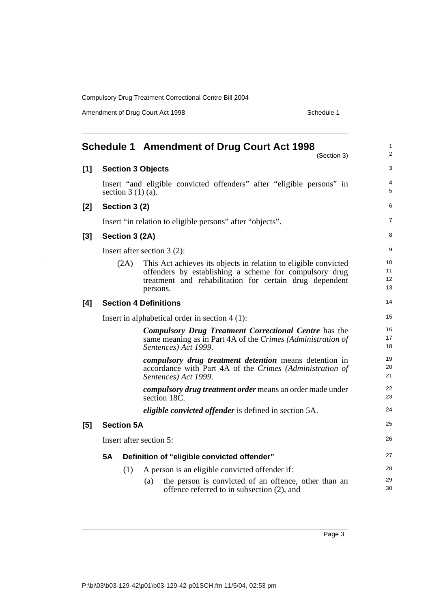Amendment of Drug Court Act 1998 Schedule 1

<span id="page-12-0"></span>

|     |           |                     | <b>Schedule 1 Amendment of Drug Court Act 1998</b><br>(Section 3)                                                                                                                                | 1<br>$\overline{c}$  |
|-----|-----------|---------------------|--------------------------------------------------------------------------------------------------------------------------------------------------------------------------------------------------|----------------------|
| [1] |           |                     | <b>Section 3 Objects</b>                                                                                                                                                                         | 3                    |
|     |           | section $3(1)(a)$ . | Insert "and eligible convicted offenders" after "eligible persons" in                                                                                                                            | 4<br>5               |
| [2] |           | Section 3 (2)       |                                                                                                                                                                                                  | 6                    |
|     |           |                     | Insert "in relation to eligible persons" after "objects".                                                                                                                                        | 7                    |
| [3] |           | Section 3 (2A)      |                                                                                                                                                                                                  | 8                    |
|     |           |                     | Insert after section $3(2)$ :                                                                                                                                                                    | 9                    |
|     |           | (2A)                | This Act achieves its objects in relation to eligible convicted<br>offenders by establishing a scheme for compulsory drug<br>treatment and rehabilitation for certain drug dependent<br>persons. | 10<br>11<br>12<br>13 |
| [4] |           |                     | <b>Section 4 Definitions</b>                                                                                                                                                                     | 14                   |
|     |           |                     | Insert in alphabetical order in section $4(1)$ :                                                                                                                                                 | 15                   |
|     |           |                     | <b>Compulsory Drug Treatment Correctional Centre has the</b><br>same meaning as in Part 4A of the Crimes (Administration of<br>Sentences) Act 1999.                                              | 16<br>17<br>18       |
|     |           |                     | compulsory drug treatment detention means detention in<br>accordance with Part 4A of the Crimes (Administration of<br>Sentences) Act 1999.                                                       | 19<br>20<br>21       |
|     |           |                     | <i>compulsory drug treatment order</i> means an order made under<br>section 18C.                                                                                                                 | 22<br>23             |
|     |           |                     | <i>eligible convicted offender</i> is defined in section 5A.                                                                                                                                     | 24                   |
| [5] |           | <b>Section 5A</b>   |                                                                                                                                                                                                  | 25                   |
|     |           |                     | Insert after section 5:                                                                                                                                                                          | 26                   |
|     | <b>5A</b> |                     | Definition of "eligible convicted offender"                                                                                                                                                      | 27                   |
|     |           | (1)                 | A person is an eligible convicted offender if:                                                                                                                                                   | 28                   |
|     |           |                     | the person is convicted of an offence, other than an<br>(a)<br>offence referred to in subsection (2), and                                                                                        | 29<br>30             |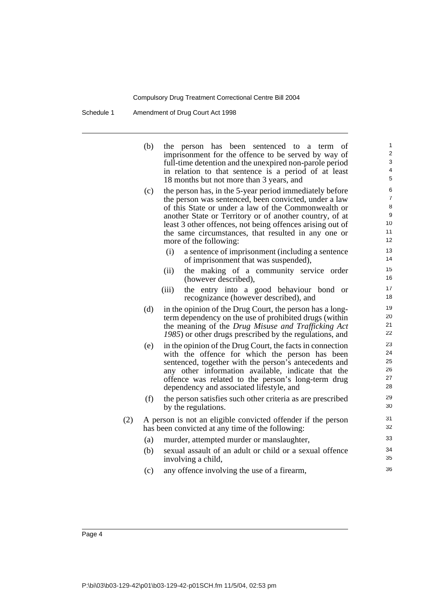Schedule 1 Amendment of Drug Court Act 1998

|     | (b) | the person has been sentenced to a term of<br>imprisonment for the offence to be served by way of<br>full-time detention and the unexpired non-parole period<br>in relation to that sentence is a period of at least<br>18 months but not more than 3 years, and                                                                                                                 | $\mathbf 1$<br>$\overline{\mathbf{c}}$<br>3<br>4<br>5 |
|-----|-----|----------------------------------------------------------------------------------------------------------------------------------------------------------------------------------------------------------------------------------------------------------------------------------------------------------------------------------------------------------------------------------|-------------------------------------------------------|
|     | (c) | the person has, in the 5-year period immediately before<br>the person was sentenced, been convicted, under a law<br>of this State or under a law of the Commonwealth or<br>another State or Territory or of another country, of at<br>least 3 other offences, not being offences arising out of<br>the same circumstances, that resulted in any one or<br>more of the following: | 6<br>$\overline{7}$<br>8<br>9<br>10<br>11<br>12       |
|     |     | (i)<br>a sentence of imprisonment (including a sentence<br>of imprisonment that was suspended),                                                                                                                                                                                                                                                                                  | 13<br>14                                              |
|     |     | the making of a community service order<br>(ii)<br>(however described),                                                                                                                                                                                                                                                                                                          | 15<br>16                                              |
|     |     | the entry into a good behaviour bond or<br>(iii)<br>recognizance (however described), and                                                                                                                                                                                                                                                                                        | 17<br>18                                              |
|     | (d) | in the opinion of the Drug Court, the person has a long-<br>term dependency on the use of prohibited drugs (within<br>the meaning of the Drug Misuse and Trafficking Act<br>1985) or other drugs prescribed by the regulations, and                                                                                                                                              | 19<br>20<br>21<br>22                                  |
|     | (e) | in the opinion of the Drug Court, the facts in connection<br>with the offence for which the person has been<br>sentenced, together with the person's antecedents and<br>any other information available, indicate that the<br>offence was related to the person's long-term drug<br>dependency and associated lifestyle, and                                                     | 23<br>24<br>25<br>26<br>27<br>28                      |
|     | (f) | the person satisfies such other criteria as are prescribed<br>by the regulations.                                                                                                                                                                                                                                                                                                | 29<br>30                                              |
| (2) |     | A person is not an eligible convicted offender if the person<br>has been convicted at any time of the following:                                                                                                                                                                                                                                                                 | 31<br>32                                              |
|     | (a) | murder, attempted murder or manslaughter,                                                                                                                                                                                                                                                                                                                                        | 33                                                    |
|     | (b) | sexual assault of an adult or child or a sexual offence<br>involving a child,                                                                                                                                                                                                                                                                                                    | 34<br>35                                              |
|     | (c) | any offence involving the use of a firearm,                                                                                                                                                                                                                                                                                                                                      | 36                                                    |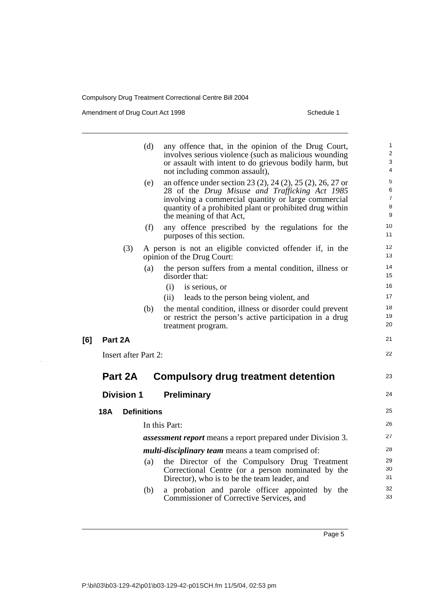Amendment of Drug Court Act 1998 Schedule 1

|     |                      | (d)                | any offence that, in the opinion of the Drug Court,<br>involves serious violence (such as malicious wounding<br>or assault with intent to do grievous bodily harm, but<br>not including common assault),                                                    | $\mathbf{1}$<br>2<br>3<br>4        |
|-----|----------------------|--------------------|-------------------------------------------------------------------------------------------------------------------------------------------------------------------------------------------------------------------------------------------------------------|------------------------------------|
|     |                      | (e)                | an offence under section 23 (2), 24 (2), 25 (2), 26, 27 or<br>28 of the Drug Misuse and Trafficking Act 1985<br>involving a commercial quantity or large commercial<br>quantity of a prohibited plant or prohibited drug within<br>the meaning of that Act, | 5<br>6<br>$\overline{7}$<br>8<br>9 |
|     |                      | (f)                | any offence prescribed by the regulations for the<br>purposes of this section.                                                                                                                                                                              | 10<br>11                           |
|     | (3)                  |                    | A person is not an eligible convicted offender if, in the<br>opinion of the Drug Court:                                                                                                                                                                     | 12 <sup>°</sup><br>13              |
|     |                      | (a)                | the person suffers from a mental condition, illness or<br>disorder that:                                                                                                                                                                                    | 14<br>15                           |
|     |                      |                    | is serious, or<br>(i)                                                                                                                                                                                                                                       | 16                                 |
|     |                      |                    | leads to the person being violent, and<br>(ii)                                                                                                                                                                                                              | 17                                 |
|     |                      | (b)                | the mental condition, illness or disorder could prevent<br>or restrict the person's active participation in a drug<br>treatment program.                                                                                                                    | 18<br>19<br>20                     |
| [6] | Part 2A              |                    |                                                                                                                                                                                                                                                             | 21                                 |
|     | Insert after Part 2: |                    |                                                                                                                                                                                                                                                             | 22                                 |
|     | Part 2A              |                    | <b>Compulsory drug treatment detention</b>                                                                                                                                                                                                                  | 23                                 |
|     | <b>Division 1</b>    |                    | <b>Preliminary</b>                                                                                                                                                                                                                                          | 24                                 |
|     | 18A                  | <b>Definitions</b> |                                                                                                                                                                                                                                                             | 25                                 |
|     |                      |                    | In this Part:                                                                                                                                                                                                                                               | 26                                 |
|     |                      |                    | <b>assessment report</b> means a report prepared under Division 3.                                                                                                                                                                                          | 27                                 |
|     |                      |                    | <i>multi-disciplinary team</i> means a team comprised of:                                                                                                                                                                                                   | 28                                 |
|     |                      | (a)                | the Director of the Compulsory Drug Treatment<br>Correctional Centre (or a person nominated by the<br>Director), who is to be the team leader, and                                                                                                          | 29<br>30<br>31                     |
|     |                      | (b)                | a probation and parole officer appointed by the<br>Commissioner of Corrective Services, and                                                                                                                                                                 | 32<br>33                           |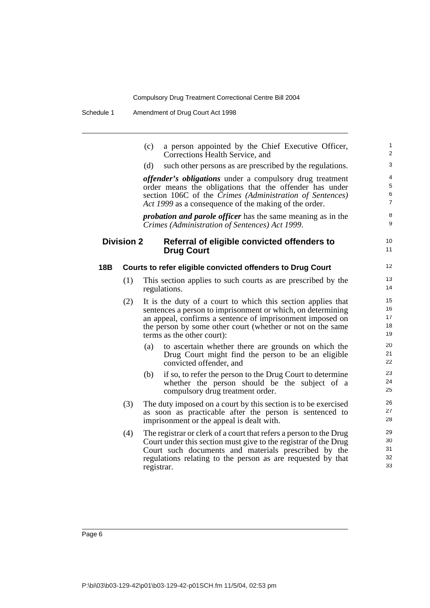Schedule 1 Amendment of Drug Court Act 1998

|     |                   | (c)        | a person appointed by the Chief Executive Officer,<br>Corrections Health Service, and                                                                                                                                                                                                | 1<br>$\overline{c}$                                   |
|-----|-------------------|------------|--------------------------------------------------------------------------------------------------------------------------------------------------------------------------------------------------------------------------------------------------------------------------------------|-------------------------------------------------------|
|     |                   | (d)        | such other persons as are prescribed by the regulations.                                                                                                                                                                                                                             | 3                                                     |
|     |                   |            | offender's obligations under a compulsory drug treatment<br>order means the obligations that the offender has under<br>section 106C of the Crimes (Administration of Sentences)<br>Act 1999 as a consequence of the making of the order.                                             | $\overline{\mathcal{A}}$<br>5<br>$6\phantom{1}6$<br>7 |
|     |                   |            | <i>probation and parole officer</i> has the same meaning as in the<br>Crimes (Administration of Sentences) Act 1999.                                                                                                                                                                 | 8<br>9                                                |
|     | <b>Division 2</b> |            | Referral of eligible convicted offenders to<br><b>Drug Court</b>                                                                                                                                                                                                                     | 10<br>11                                              |
| 18B |                   |            | Courts to refer eligible convicted offenders to Drug Court                                                                                                                                                                                                                           | 12                                                    |
|     | (1)               |            | This section applies to such courts as are prescribed by the<br>regulations.                                                                                                                                                                                                         | 13<br>14                                              |
|     | (2)               |            | It is the duty of a court to which this section applies that<br>sentences a person to imprisonment or which, on determining<br>an appeal, confirms a sentence of imprisonment imposed on<br>the person by some other court (whether or not on the same<br>terms as the other court): | 15<br>16<br>17<br>18<br>19                            |
|     |                   | (a)        | to ascertain whether there are grounds on which the<br>Drug Court might find the person to be an eligible<br>convicted offender, and                                                                                                                                                 | 20<br>21<br>22                                        |
|     |                   | (b)        | if so, to refer the person to the Drug Court to determine<br>whether the person should be the subject of a<br>compulsory drug treatment order.                                                                                                                                       | 23<br>24<br>25                                        |
|     | (3)               |            | The duty imposed on a court by this section is to be exercised<br>as soon as practicable after the person is sentenced to<br>imprisonment or the appeal is dealt with.                                                                                                               | 26<br>27<br>28                                        |
|     | (4)               | registrar. | The registrar or clerk of a court that refers a person to the Drug<br>Court under this section must give to the registrar of the Drug<br>Court such documents and materials prescribed by the<br>regulations relating to the person as are requested by that                         | 29<br>30<br>31<br>32<br>33                            |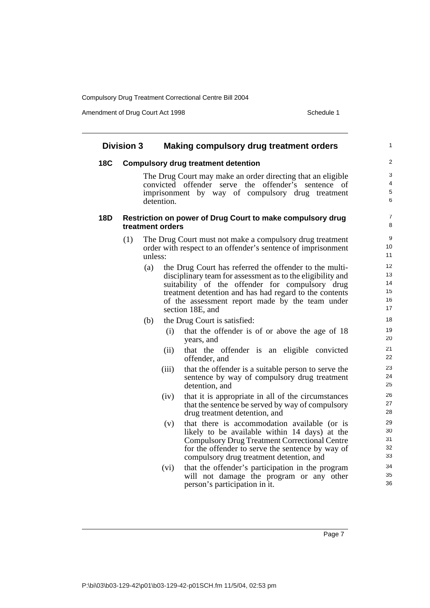Amendment of Drug Court Act 1998 Schedule 1

|            | <b>Division 3</b> |         |                  | <b>Making compulsory drug treatment orders</b>                                                                                                                                                                                                                                                           | 1                                |
|------------|-------------------|---------|------------------|----------------------------------------------------------------------------------------------------------------------------------------------------------------------------------------------------------------------------------------------------------------------------------------------------------|----------------------------------|
| <b>18C</b> |                   |         |                  | <b>Compulsory drug treatment detention</b>                                                                                                                                                                                                                                                               | $\overline{2}$                   |
|            |                   |         | detention.       | The Drug Court may make an order directing that an eligible<br>convicted offender serve the offender's sentence of<br>imprisonment by way of compulsory drug treatment                                                                                                                                   | 3<br>4<br>5<br>6                 |
| <b>18D</b> |                   |         | treatment orders | Restriction on power of Drug Court to make compulsory drug                                                                                                                                                                                                                                               | $\overline{7}$<br>8              |
|            | (1)               | unless: |                  | The Drug Court must not make a compulsory drug treatment<br>order with respect to an offender's sentence of imprisonment                                                                                                                                                                                 | 9<br>10<br>11                    |
|            |                   | (a)     |                  | the Drug Court has referred the offender to the multi-<br>disciplinary team for assessment as to the eligibility and<br>suitability of the offender for compulsory drug<br>treatment detention and has had regard to the contents<br>of the assessment report made by the team under<br>section 18E, and | 12<br>13<br>14<br>15<br>16<br>17 |
|            |                   | (b)     |                  | the Drug Court is satisfied:                                                                                                                                                                                                                                                                             | 18                               |
|            |                   |         | (i)              | that the offender is of or above the age of 18<br>years, and                                                                                                                                                                                                                                             | 19<br>20                         |
|            |                   |         | (ii)             | that the offender is an eligible convicted<br>offender, and                                                                                                                                                                                                                                              | 21<br>22                         |
|            |                   |         | (iii)            | that the offender is a suitable person to serve the<br>sentence by way of compulsory drug treatment<br>detention, and                                                                                                                                                                                    | 23<br>24<br>25                   |
|            |                   |         | (iv)             | that it is appropriate in all of the circumstances<br>that the sentence be served by way of compulsory<br>drug treatment detention, and                                                                                                                                                                  | 26<br>27<br>28                   |
|            |                   |         | (v)              | that there is accommodation available (or is<br>likely to be available within 14 days) at the<br><b>Compulsory Drug Treatment Correctional Centre</b><br>for the offender to serve the sentence by way of<br>compulsory drug treatment detention, and                                                    | 29<br>30<br>31<br>32<br>33       |
|            |                   |         | (vi)             | that the offender's participation in the program<br>will not damage the program or any other<br>person's participation in it.                                                                                                                                                                            | 34<br>35<br>36                   |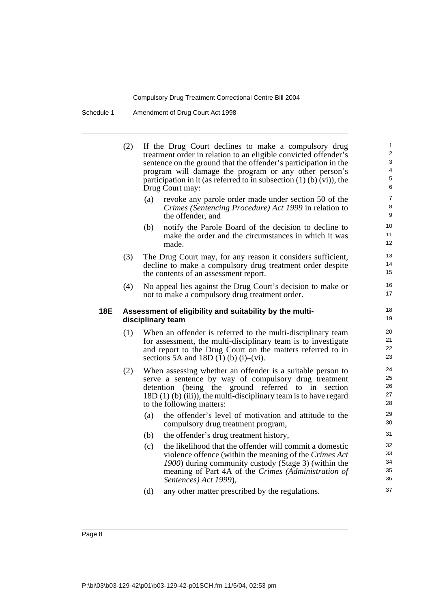Schedule 1 Amendment of Drug Court Act 1998

(2) If the Drug Court declines to make a compulsory drug treatment order in relation to an eligible convicted offender's sentence on the ground that the offender's participation in the program will damage the program or any other person's participation in it (as referred to in subsection (1) (b) (vi)), the Drug Court may: (a) revoke any parole order made under section 50 of the *Crimes (Sentencing Procedure) Act 1999* in relation to the offender, and (b) notify the Parole Board of the decision to decline to make the order and the circumstances in which it was made. (3) The Drug Court may, for any reason it considers sufficient, decline to make a compulsory drug treatment order despite the contents of an assessment report. (4) No appeal lies against the Drug Court's decision to make or not to make a compulsory drug treatment order. **18E Assessment of eligibility and suitability by the multidisciplinary team** (1) When an offender is referred to the multi-disciplinary team for assessment, the multi-disciplinary team is to investigate and report to the Drug Court on the matters referred to in sections 5A and 18D (1) (b) (i)–(vi). (2) When assessing whether an offender is a suitable person to serve a sentence by way of compulsory drug treatment detention (being the ground referred to in section 18D (1) (b) (iii)), the multi-disciplinary team is to have regard to the following matters: (a) the offender's level of motivation and attitude to the compulsory drug treatment program, (b) the offender's drug treatment history, 1  $\overline{2}$ 3 4 5 6 7 8 9 10 11 12 13 14 15 16 17 18 19  $20$ 21 22 23 24 25 26 27 28 29 30 31 32

(c) the likelihood that the offender will commit a domestic violence offence (within the meaning of the *Crimes Act 1900*) during community custody (Stage 3) (within the meaning of Part 4A of the *Crimes (Administration of Sentences) Act 1999*),

(d) any other matter prescribed by the regulations.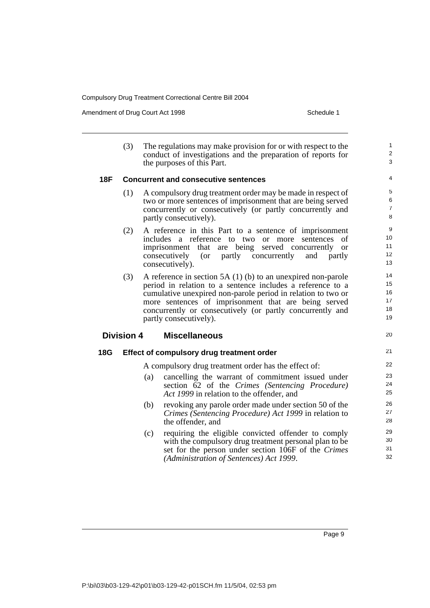Amendment of Drug Court Act 1998 Schedule 1

|            | (3)               | The regulations may make provision for or with respect to the<br>conduct of investigations and the preparation of reports for<br>the purposes of this Part.                                                                                                                                                                                 | $\mathbf{1}$<br>$\overline{2}$<br>3 |
|------------|-------------------|---------------------------------------------------------------------------------------------------------------------------------------------------------------------------------------------------------------------------------------------------------------------------------------------------------------------------------------------|-------------------------------------|
| <b>18F</b> |                   | <b>Concurrent and consecutive sentences</b>                                                                                                                                                                                                                                                                                                 | 4                                   |
|            | (1)               | A compulsory drug treatment order may be made in respect of<br>two or more sentences of imprisonment that are being served<br>concurrently or consecutively (or partly concurrently and<br>partly consecutively).                                                                                                                           | 5<br>6<br>$\overline{7}$<br>8       |
|            | (2)               | A reference in this Part to a sentence of imprisonment<br>includes a reference to two<br>or more<br>sentences<br>οf<br>that<br>are being<br>served concurrently<br>imprisonment<br><sub>or</sub><br>partly concurrently<br>consecutively<br>(or<br>and<br>partly<br>consecutively).                                                         | 9<br>10<br>11<br>12<br>13           |
|            | (3)               | A reference in section 5A $(1)$ (b) to an unexpired non-parole<br>period in relation to a sentence includes a reference to a<br>cumulative unexpired non-parole period in relation to two or<br>more sentences of imprisonment that are being served<br>concurrently or consecutively (or partly concurrently and<br>partly consecutively). | 14<br>15<br>16<br>17<br>18<br>19    |
|            | <b>Division 4</b> | <b>Miscellaneous</b>                                                                                                                                                                                                                                                                                                                        | 20                                  |
| 18G        |                   | Effect of compulsory drug treatment order                                                                                                                                                                                                                                                                                                   | 21                                  |
|            |                   | A compulsory drug treatment order has the effect of:                                                                                                                                                                                                                                                                                        | 22                                  |
|            |                   | cancelling the warrant of commitment issued under<br>(a)<br>section 62 of the Crimes (Sentencing Procedure)<br>Act 1999 in relation to the offender, and                                                                                                                                                                                    | 23<br>24<br>25                      |
|            |                   | revoking any parole order made under section 50 of the<br>(b)<br>Crimes (Sentencing Procedure) Act 1999 in relation to<br>the offender, and                                                                                                                                                                                                 | 26<br>27<br>28                      |
|            |                   | requiring the eligible convicted offender to comply<br>(c)<br>with the compulsory drug treatment personal plan to be<br>set for the person under section 106F of the Crimes<br>(Administration of Sentences) Act 1999.                                                                                                                      | 29<br>30<br>31<br>32                |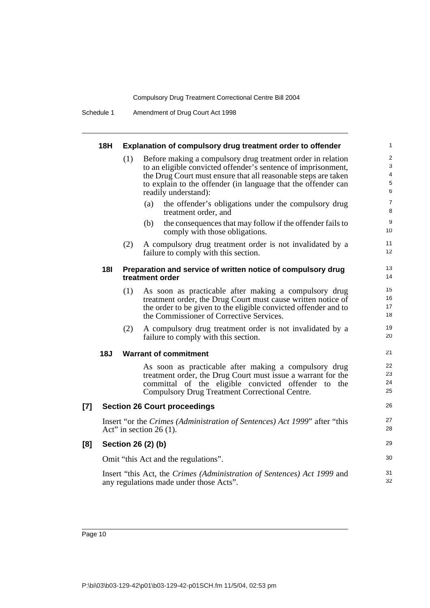Schedule 1 Amendment of Drug Court Act 1998

|       | 18H        |     | Explanation of compulsory drug treatment order to offender                                                                                                                                                                                                                              | 1                                                                  |
|-------|------------|-----|-----------------------------------------------------------------------------------------------------------------------------------------------------------------------------------------------------------------------------------------------------------------------------------------|--------------------------------------------------------------------|
|       |            | (1) | Before making a compulsory drug treatment order in relation<br>to an eligible convicted offender's sentence of imprisonment,<br>the Drug Court must ensure that all reasonable steps are taken<br>to explain to the offender (in language that the offender can<br>readily understand): | $\overline{\mathbf{c}}$<br>3<br>$\overline{\mathcal{L}}$<br>5<br>6 |
|       |            |     | (a)<br>the offender's obligations under the compulsory drug<br>treatment order, and                                                                                                                                                                                                     | $\overline{7}$<br>8                                                |
|       |            |     | the consequences that may follow if the offender fails to<br>(b)<br>comply with those obligations.                                                                                                                                                                                      | 9<br>10                                                            |
|       |            | (2) | A compulsory drug treatment order is not invalidated by a<br>failure to comply with this section.                                                                                                                                                                                       | 11<br>12                                                           |
|       | <b>18I</b> |     | Preparation and service of written notice of compulsory drug<br>treatment order                                                                                                                                                                                                         | 13<br>14                                                           |
|       |            | (1) | As soon as practicable after making a compulsory drug<br>treatment order, the Drug Court must cause written notice of<br>the order to be given to the eligible convicted offender and to<br>the Commissioner of Corrective Services.                                                    | 15<br>16<br>17<br>18                                               |
|       |            | (2) | A compulsory drug treatment order is not invalidated by a<br>failure to comply with this section.                                                                                                                                                                                       | 19<br>20                                                           |
|       | 18J        |     | <b>Warrant of commitment</b>                                                                                                                                                                                                                                                            | 21                                                                 |
|       |            |     | As soon as practicable after making a compulsory drug<br>treatment order, the Drug Court must issue a warrant for the<br>committal of the eligible convicted offender to the<br><b>Compulsory Drug Treatment Correctional Centre.</b>                                                   | 22<br>23<br>24<br>25                                               |
| $[7]$ |            |     | <b>Section 26 Court proceedings</b>                                                                                                                                                                                                                                                     | 26                                                                 |
|       |            |     | Insert "or the Crimes (Administration of Sentences) Act 1999" after "this<br>Act" in section $26(1)$ .                                                                                                                                                                                  | 27<br>28                                                           |
| [8]   |            |     | Section 26 (2) (b)                                                                                                                                                                                                                                                                      | 29                                                                 |
|       |            |     | Omit "this Act and the regulations".                                                                                                                                                                                                                                                    | 30                                                                 |
|       |            |     | Insert "this Act, the Crimes (Administration of Sentences) Act 1999 and<br>any regulations made under those Acts".                                                                                                                                                                      | 31<br>32                                                           |
|       |            |     |                                                                                                                                                                                                                                                                                         |                                                                    |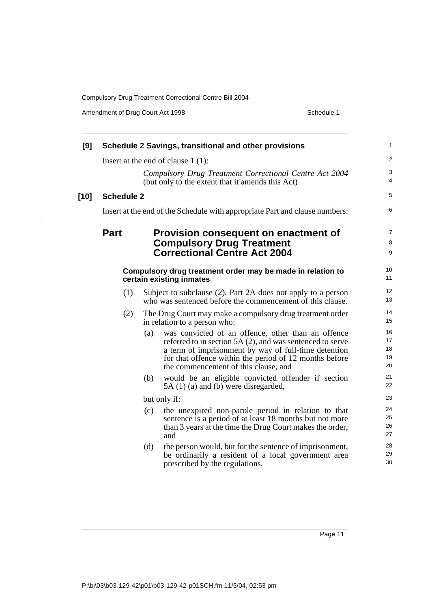Amendment of Drug Court Act 1998 Schedule 1

| [9]    |                   |     | Schedule 2 Savings, transitional and other provisions                                                                                                                                                                                                                       | 1                          |
|--------|-------------------|-----|-----------------------------------------------------------------------------------------------------------------------------------------------------------------------------------------------------------------------------------------------------------------------------|----------------------------|
|        |                   |     | Insert at the end of clause $1(1)$ :                                                                                                                                                                                                                                        | $\overline{\mathbf{c}}$    |
|        |                   |     | Compulsory Drug Treatment Correctional Centre Act 2004<br>(but only to the extent that it amends this Act)                                                                                                                                                                  | 3<br>4                     |
| $[10]$ | <b>Schedule 2</b> |     |                                                                                                                                                                                                                                                                             | 5                          |
|        |                   |     | Insert at the end of the Schedule with appropriate Part and clause numbers:                                                                                                                                                                                                 | 6                          |
|        | <b>Part</b>       |     | Provision consequent on enactment of<br><b>Compulsory Drug Treatment</b><br><b>Correctional Centre Act 2004</b>                                                                                                                                                             | 7<br>8<br>9                |
|        |                   |     | Compulsory drug treatment order may be made in relation to<br>certain existing inmates                                                                                                                                                                                      | 10<br>11                   |
|        | (1)               |     | Subject to subclause (2), Part 2A does not apply to a person<br>who was sentenced before the commencement of this clause.                                                                                                                                                   | 12<br>13                   |
|        | (2)               |     | The Drug Court may make a compulsory drug treatment order<br>in relation to a person who:                                                                                                                                                                                   | 14<br>15                   |
|        |                   | (a) | was convicted of an offence, other than an offence<br>referred to in section $5A(2)$ , and was sentenced to serve<br>a term of imprisonment by way of full-time detention<br>for that offence within the period of 12 months before<br>the commencement of this clause, and | 16<br>17<br>18<br>19<br>20 |
|        |                   | (b) | would be an eligible convicted offender if section<br>5A (1) (a) and (b) were disregarded,                                                                                                                                                                                  | 21<br>22                   |
|        |                   |     | but only if:                                                                                                                                                                                                                                                                | 23                         |
|        |                   | (c) | the unexpired non-parole period in relation to that<br>sentence is a period of at least 18 months but not more<br>than 3 years at the time the Drug Court makes the order,<br>and                                                                                           | 24<br>25<br>26<br>27       |
|        |                   | (d) | the person would, but for the sentence of imprisonment,<br>be ordinarily a resident of a local government area<br>prescribed by the regulations.                                                                                                                            | 28<br>29<br>30             |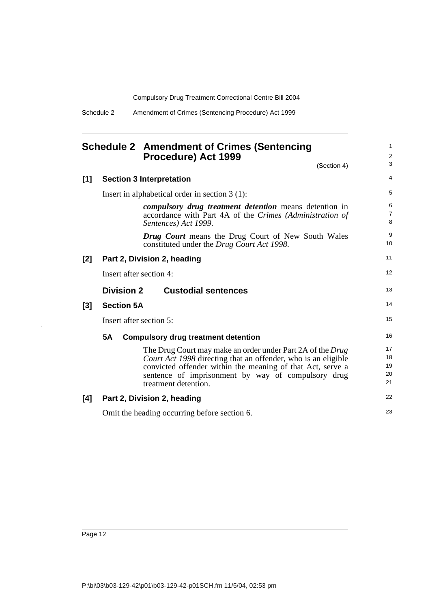1

Schedule 2 Amendment of Crimes (Sentencing Procedure) Act 1999

# <span id="page-21-0"></span>**Schedule 2 Amendment of Crimes (Sentencing Procedure) Act 1999**

|       | <b>Procedure) Act 1999</b>                                                                                                                                                                                                                                              | 2                          |  |  |  |  |
|-------|-------------------------------------------------------------------------------------------------------------------------------------------------------------------------------------------------------------------------------------------------------------------------|----------------------------|--|--|--|--|
|       | (Section 4)                                                                                                                                                                                                                                                             | 3                          |  |  |  |  |
| [1]   | <b>Section 3 Interpretation</b>                                                                                                                                                                                                                                         | $\overline{4}$             |  |  |  |  |
|       | Insert in alphabetical order in section $3(1)$ :                                                                                                                                                                                                                        | 5                          |  |  |  |  |
|       | <i>compulsory drug treatment detention</i> means detention in<br>accordance with Part 4A of the Crimes (Administration of<br>Sentences) Act 1999.                                                                                                                       | 6<br>$\overline{7}$<br>8   |  |  |  |  |
|       | <b>Drug Court</b> means the Drug Court of New South Wales<br>constituted under the Drug Court Act 1998.                                                                                                                                                                 | 9<br>10                    |  |  |  |  |
| [2]   | Part 2, Division 2, heading                                                                                                                                                                                                                                             | 11                         |  |  |  |  |
|       | Insert after section 4:                                                                                                                                                                                                                                                 |                            |  |  |  |  |
|       | <b>Division 2</b><br><b>Custodial sentences</b>                                                                                                                                                                                                                         | 13                         |  |  |  |  |
| $[3]$ | <b>Section 5A</b>                                                                                                                                                                                                                                                       | 14                         |  |  |  |  |
|       | Insert after section 5:                                                                                                                                                                                                                                                 | 15                         |  |  |  |  |
|       | <b>5A</b><br><b>Compulsory drug treatment detention</b>                                                                                                                                                                                                                 | 16                         |  |  |  |  |
|       | The Drug Court may make an order under Part 2A of the Drug<br>Court Act 1998 directing that an offender, who is an eligible<br>convicted offender within the meaning of that Act, serve a<br>sentence of imprisonment by way of compulsory drug<br>treatment detention. | 17<br>18<br>19<br>20<br>21 |  |  |  |  |
| [4]   | Part 2, Division 2, heading                                                                                                                                                                                                                                             | 22                         |  |  |  |  |
|       | Omit the heading occurring before section 6.                                                                                                                                                                                                                            | 23                         |  |  |  |  |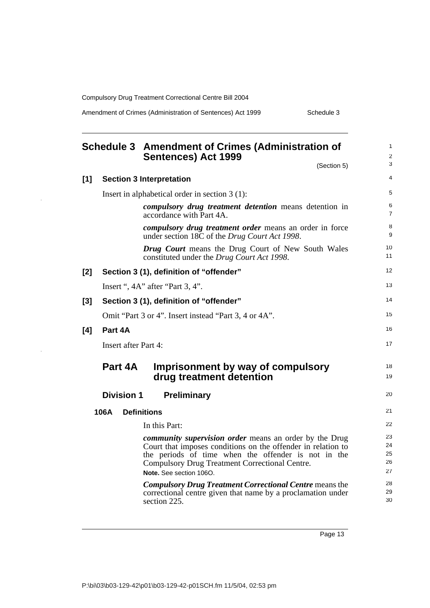Amendment of Crimes (Administration of Sentences) Act 1999 Schedule 3

<span id="page-22-0"></span>

|       |                             | <b>Schedule 3 Amendment of Crimes (Administration of</b><br><b>Sentences) Act 1999</b>                              |                     |  |  |
|-------|-----------------------------|---------------------------------------------------------------------------------------------------------------------|---------------------|--|--|
|       |                             | (Section 5)                                                                                                         | 3                   |  |  |
| $[1]$ |                             | <b>Section 3 Interpretation</b>                                                                                     | 4                   |  |  |
|       |                             | Insert in alphabetical order in section $3(1)$ :                                                                    | 5                   |  |  |
|       |                             | <i>compulsory drug treatment detention</i> means detention in<br>accordance with Part 4A.                           | 6<br>$\overline{7}$ |  |  |
|       |                             | <i>compulsory drug treatment order</i> means an order in force<br>under section 18C of the Drug Court Act 1998.     | 8<br>9              |  |  |
|       |                             | <b>Drug Court</b> means the Drug Court of New South Wales<br>constituted under the Drug Court Act 1998.             | 10<br>11            |  |  |
| [2]   |                             | Section 3 (1), definition of "offender"                                                                             | 12                  |  |  |
|       |                             | Insert ", 4A" after "Part 3, 4".                                                                                    | 13                  |  |  |
| $[3]$ |                             | Section 3 (1), definition of "offender"                                                                             | 14                  |  |  |
|       |                             | Omit "Part 3 or 4". Insert instead "Part 3, 4 or 4A".                                                               | 15                  |  |  |
| [4]   | Part 4A                     |                                                                                                                     | 16                  |  |  |
|       | <b>Insert after Part 4:</b> |                                                                                                                     | 17                  |  |  |
|       | Part 4A                     | Imprisonment by way of compulsory<br>drug treatment detention                                                       | 18<br>19            |  |  |
|       | <b>Division 1</b>           | <b>Preliminary</b>                                                                                                  | 20                  |  |  |
|       | 106A                        | <b>Definitions</b>                                                                                                  | 21                  |  |  |
|       |                             | In this Part:                                                                                                       | 22                  |  |  |
|       |                             | <i>community supervision order</i> means an order by the Drug                                                       | 23                  |  |  |
|       |                             | Court that imposes conditions on the offender in relation to<br>the periods of time when the offender is not in the | 24<br>25            |  |  |
|       |                             | <b>Compulsory Drug Treatment Correctional Centre.</b>                                                               | 26                  |  |  |
|       |                             | Note. See section 106O.                                                                                             | 27                  |  |  |
|       |                             | <b>Compulsory Drug Treatment Correctional Centre means the</b>                                                      | 28                  |  |  |
|       |                             | correctional centre given that name by a proclamation under<br>section 225.                                         | 29<br>30            |  |  |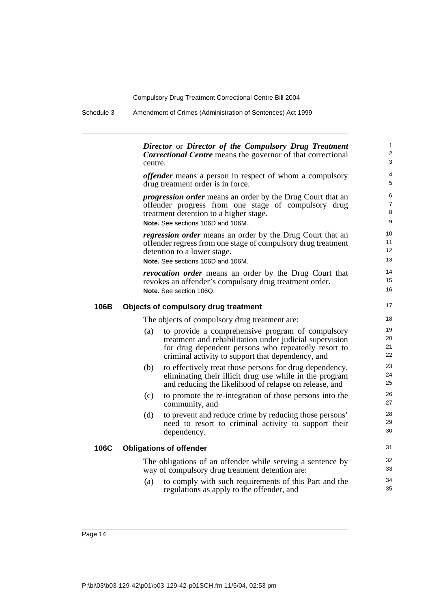|      | centre. | Director or Director of the Compulsory Drug Treatment<br><b>Correctional Centre</b> means the governor of that correctional                                                                                             | $\mathbf{1}$<br>$\overline{2}$<br>3 |
|------|---------|-------------------------------------------------------------------------------------------------------------------------------------------------------------------------------------------------------------------------|-------------------------------------|
|      |         | <i>offender</i> means a person in respect of whom a compulsory<br>drug treatment order is in force.                                                                                                                     | 4<br>5                              |
|      |         | <i>progression order</i> means an order by the Drug Court that an<br>offender progress from one stage of compulsory drug<br>treatment detention to a higher stage.<br>Note. See sections 106D and 106M.                 | 6<br>$\overline{7}$<br>8<br>9       |
|      |         | <i>regression order</i> means an order by the Drug Court that an<br>offender regress from one stage of compulsory drug treatment<br>detention to a lower stage.<br>Note. See sections 106D and 106M.                    | 10<br>11<br>12<br>13                |
|      |         | <i>revocation order</i> means an order by the Drug Court that<br>revokes an offender's compulsory drug treatment order.<br>Note. See section 106Q.                                                                      | 14<br>15<br>16                      |
| 106B |         | Objects of compulsory drug treatment                                                                                                                                                                                    | 17                                  |
|      |         | The objects of compulsory drug treatment are:                                                                                                                                                                           | 18                                  |
|      | (a)     | to provide a comprehensive program of compulsory<br>treatment and rehabilitation under judicial supervision<br>for drug dependent persons who repeatedly resort to<br>criminal activity to support that dependency, and | 19<br>20<br>21<br>22                |
|      | (b)     | to effectively treat those persons for drug dependency,<br>eliminating their illicit drug use while in the program<br>and reducing the likelihood of relapse on release, and                                            | 23<br>24<br>25                      |
|      | (c)     | to promote the re-integration of those persons into the<br>community, and                                                                                                                                               | 26<br>27                            |
|      | (d)     | to prevent and reduce crime by reducing those persons'<br>need to resort to criminal activity to support their<br>dependency.                                                                                           | 28<br>29<br>30                      |
| 106C |         | <b>Obligations of offender</b>                                                                                                                                                                                          | 31                                  |
|      |         | The obligations of an offender while serving a sentence by<br>way of compulsory drug treatment detention are:                                                                                                           | 32<br>33                            |
|      | (a)     | to comply with such requirements of this Part and the<br>regulations as apply to the offender, and                                                                                                                      | 34<br>35                            |
|      |         |                                                                                                                                                                                                                         |                                     |

**106C**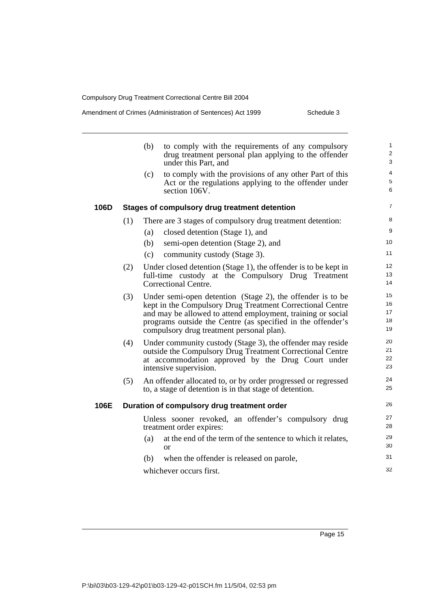|      |     | (b)<br>to comply with the requirements of any compulsory<br>drug treatment personal plan applying to the offender<br>under this Part, and                                                                                                                                                          | $\mathbf{1}$<br>$\overline{2}$<br>3 |
|------|-----|----------------------------------------------------------------------------------------------------------------------------------------------------------------------------------------------------------------------------------------------------------------------------------------------------|-------------------------------------|
|      |     | to comply with the provisions of any other Part of this<br>(c)<br>Act or the regulations applying to the offender under<br>section 106V.                                                                                                                                                           | 4<br>5<br>6                         |
| 106D |     | Stages of compulsory drug treatment detention                                                                                                                                                                                                                                                      | $\overline{7}$                      |
|      | (1) | There are 3 stages of compulsory drug treatment detention:                                                                                                                                                                                                                                         | 8                                   |
|      |     | closed detention (Stage 1), and<br>(a)                                                                                                                                                                                                                                                             | 9                                   |
|      |     | (b)<br>semi-open detention (Stage 2), and                                                                                                                                                                                                                                                          | 10                                  |
|      |     | (c)<br>community custody (Stage 3).                                                                                                                                                                                                                                                                | 11                                  |
|      | (2) | Under closed detention (Stage 1), the offender is to be kept in<br>full-time custody at the Compulsory Drug Treatment<br>Correctional Centre.                                                                                                                                                      | 12<br>13<br>14                      |
|      | (3) | Under semi-open detention (Stage 2), the offender is to be<br>kept in the Compulsory Drug Treatment Correctional Centre<br>and may be allowed to attend employment, training or social<br>programs outside the Centre (as specified in the offender's<br>compulsory drug treatment personal plan). | 15<br>16<br>17<br>18<br>19          |
|      | (4) | Under community custody (Stage 3), the offender may reside<br>outside the Compulsory Drug Treatment Correctional Centre<br>at accommodation approved by the Drug Court under<br>intensive supervision.                                                                                             | 20<br>21<br>22<br>23                |
|      | (5) | An offender allocated to, or by order progressed or regressed<br>to, a stage of detention is in that stage of detention.                                                                                                                                                                           | 24<br>25                            |
| 106E |     | Duration of compulsory drug treatment order                                                                                                                                                                                                                                                        | 26                                  |
|      |     | Unless sooner revoked, an offender's compulsory drug<br>treatment order expires:                                                                                                                                                                                                                   | 27<br>28                            |
|      |     | at the end of the term of the sentence to which it relates,<br>(a)<br>$\alpha$                                                                                                                                                                                                                     | 29<br>30                            |
|      |     | (b)<br>when the offender is released on parole,                                                                                                                                                                                                                                                    | 31                                  |
|      |     | whichever occurs first.                                                                                                                                                                                                                                                                            | 32                                  |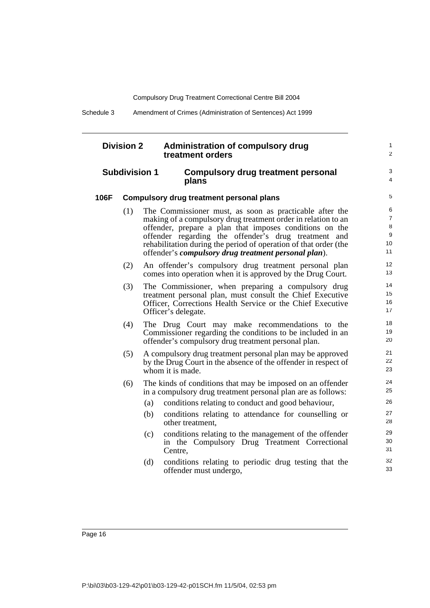Schedule 3 Amendment of Crimes (Administration of Sentences) Act 1999

### **Division 2 Administration of compulsory drug treatment orders**

#### **Subdivision 1 Compulsory drug treatment personal plans**

1  $\mathfrak{p}$ 

3 4

#### **106F Compulsory drug treatment personal plans**

- (1) The Commissioner must, as soon as practicable after the making of a compulsory drug treatment order in relation to an offender, prepare a plan that imposes conditions on the offender regarding the offender's drug treatment and rehabilitation during the period of operation of that order (the offender's *compulsory drug treatment personal plan*).
- (2) An offender's compulsory drug treatment personal plan comes into operation when it is approved by the Drug Court.
- (3) The Commissioner, when preparing a compulsory drug treatment personal plan, must consult the Chief Executive Officer, Corrections Health Service or the Chief Executive Officer's delegate.
- (4) The Drug Court may make recommendations to the Commissioner regarding the conditions to be included in an offender's compulsory drug treatment personal plan.
- (5) A compulsory drug treatment personal plan may be approved by the Drug Court in the absence of the offender in respect of whom it is made.
- (6) The kinds of conditions that may be imposed on an offender in a compulsory drug treatment personal plan are as follows:
	- (a) conditions relating to conduct and good behaviour,
	- (b) conditions relating to attendance for counselling or other treatment,
	- (c) conditions relating to the management of the offender in the Compulsory Drug Treatment Correctional Centre,
	- (d) conditions relating to periodic drug testing that the offender must undergo,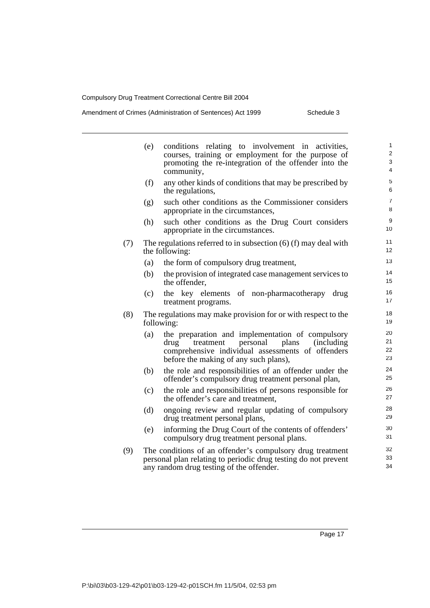|     | (e) | conditions relating to involvement in activities,<br>courses, training or employment for the purpose of<br>promoting the re-integration of the offender into the<br>community,                                 | 1<br>2<br>3<br>$\overline{\mathcal{L}}$ |
|-----|-----|----------------------------------------------------------------------------------------------------------------------------------------------------------------------------------------------------------------|-----------------------------------------|
|     | (f) | any other kinds of conditions that may be prescribed by<br>the regulations,                                                                                                                                    | 5<br>6                                  |
|     | (g) | such other conditions as the Commissioner considers<br>appropriate in the circumstances,                                                                                                                       | $\overline{7}$<br>8                     |
|     | (h) | such other conditions as the Drug Court considers<br>appropriate in the circumstances.                                                                                                                         | 9<br>10                                 |
| (7) |     | The regulations referred to in subsection $(6)$ (f) may deal with<br>the following:                                                                                                                            | 11<br>12                                |
|     | (a) | the form of compulsory drug treatment,                                                                                                                                                                         | 13                                      |
|     | (b) | the provision of integrated case management services to<br>the offender,                                                                                                                                       | 14<br>15                                |
|     | (c) | the key elements of non-pharmacotherapy<br>drug<br>treatment programs.                                                                                                                                         | 16<br>17                                |
| (8) |     | The regulations may make provision for or with respect to the<br>following:                                                                                                                                    | 18<br>19                                |
|     | (a) | the preparation and implementation of compulsory<br>personal<br>plans<br><i>(including)</i><br>drug<br>treatment<br>comprehensive individual assessments of offenders<br>before the making of any such plans), | 20<br>21<br>22<br>23                    |
|     | (b) | the role and responsibilities of an offender under the<br>offender's compulsory drug treatment personal plan,                                                                                                  | 24<br>25                                |
|     | (c) | the role and responsibilities of persons responsible for<br>the offender's care and treatment,                                                                                                                 | 26<br>27                                |
|     | (d) | ongoing review and regular updating of compulsory<br>drug treatment personal plans,                                                                                                                            | 28<br>29                                |
|     | (e) | informing the Drug Court of the contents of offenders'<br>compulsory drug treatment personal plans.                                                                                                            | 30<br>31                                |
| (9) |     | The conditions of an offender's compulsory drug treatment<br>personal plan relating to periodic drug testing do not prevent<br>any random drug testing of the offender.                                        | 32<br>33<br>34                          |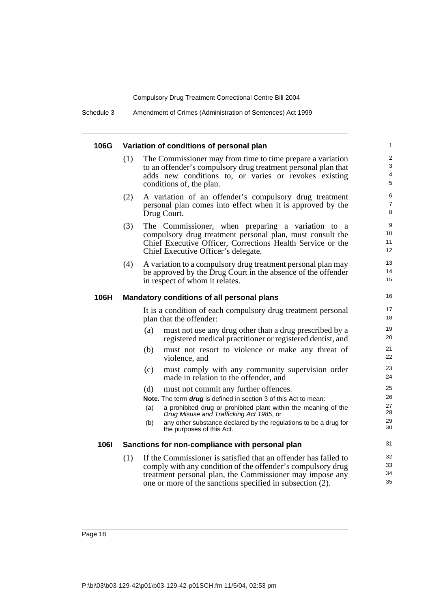Schedule 3 Amendment of Crimes (Administration of Sentences) Act 1999

| 106G        | Variation of conditions of personal plan                                                                                                   |                                                                                                                                                                                                                     |                               |  |  |  |  |  |
|-------------|--------------------------------------------------------------------------------------------------------------------------------------------|---------------------------------------------------------------------------------------------------------------------------------------------------------------------------------------------------------------------|-------------------------------|--|--|--|--|--|
|             | (1)                                                                                                                                        | The Commissioner may from time to time prepare a variation<br>to an offender's compulsory drug treatment personal plan that<br>adds new conditions to, or varies or revokes existing<br>conditions of, the plan.    | $\overline{2}$<br>3<br>4<br>5 |  |  |  |  |  |
|             | A variation of an offender's compulsory drug treatment<br>(2)<br>personal plan comes into effect when it is approved by the<br>Drug Court. |                                                                                                                                                                                                                     |                               |  |  |  |  |  |
|             | (3)                                                                                                                                        | The Commissioner, when preparing a variation to a<br>compulsory drug treatment personal plan, must consult the<br>Chief Executive Officer, Corrections Health Service or the<br>Chief Executive Officer's delegate. | 9<br>10<br>11<br>12           |  |  |  |  |  |
|             | (4)                                                                                                                                        | A variation to a compulsory drug treatment personal plan may<br>be approved by the Drug Court in the absence of the offender<br>in respect of whom it relates.                                                      | 13<br>14<br>15                |  |  |  |  |  |
| 106H        |                                                                                                                                            | Mandatory conditions of all personal plans                                                                                                                                                                          | 16                            |  |  |  |  |  |
|             |                                                                                                                                            | It is a condition of each compulsory drug treatment personal<br>plan that the offender:                                                                                                                             | 17<br>18                      |  |  |  |  |  |
|             |                                                                                                                                            | must not use any drug other than a drug prescribed by a<br>(a)<br>registered medical practitioner or registered dentist, and                                                                                        | 19<br>20                      |  |  |  |  |  |
|             |                                                                                                                                            | must not resort to violence or make any threat of<br>(b)<br>violence, and                                                                                                                                           | 21<br>22                      |  |  |  |  |  |
|             |                                                                                                                                            | must comply with any community supervision order<br>(c)<br>made in relation to the offender, and                                                                                                                    | 23<br>24                      |  |  |  |  |  |
|             |                                                                                                                                            | (d)<br>must not commit any further offences.                                                                                                                                                                        | 25                            |  |  |  |  |  |
|             |                                                                                                                                            | Note. The term drug is defined in section 3 of this Act to mean:                                                                                                                                                    | 26                            |  |  |  |  |  |
|             |                                                                                                                                            | a prohibited drug or prohibited plant within the meaning of the<br>(a)<br>Drug Misuse and Trafficking Act 1985, or                                                                                                  | 27<br>28                      |  |  |  |  |  |
|             |                                                                                                                                            | any other substance declared by the regulations to be a drug for<br>(b)<br>the purposes of this Act.                                                                                                                | 29<br>30                      |  |  |  |  |  |
| <b>1061</b> |                                                                                                                                            | Sanctions for non-compliance with personal plan                                                                                                                                                                     | 31                            |  |  |  |  |  |
|             | (1)                                                                                                                                        | If the Commissioner is satisfied that an offender has failed to                                                                                                                                                     | 32                            |  |  |  |  |  |
|             |                                                                                                                                            | comply with any condition of the offender's compulsory drug                                                                                                                                                         | 33                            |  |  |  |  |  |
|             |                                                                                                                                            | treatment personal plan, the Commissioner may impose any                                                                                                                                                            | 34                            |  |  |  |  |  |
|             |                                                                                                                                            | one or more of the sanctions specified in subsection $(2)$ .                                                                                                                                                        | 35                            |  |  |  |  |  |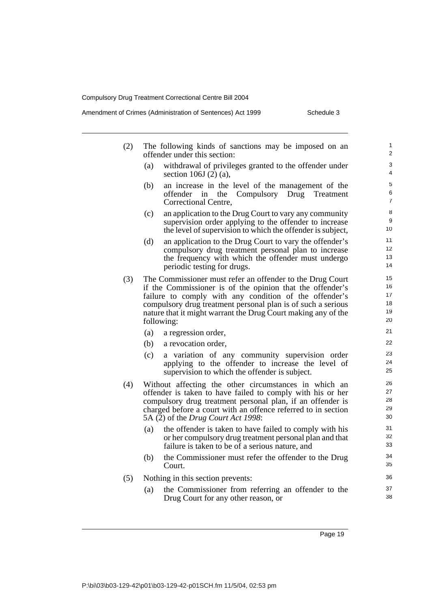| (2) |     | The following kinds of sanctions may be imposed on an<br>offender under this section:                                                                                                                                                                                                                                           | $\mathbf{1}$<br>$\overline{2}$   |
|-----|-----|---------------------------------------------------------------------------------------------------------------------------------------------------------------------------------------------------------------------------------------------------------------------------------------------------------------------------------|----------------------------------|
|     | (a) | withdrawal of privileges granted to the offender under<br>section 106J $(2)$ $(a)$ ,                                                                                                                                                                                                                                            | 3<br>4                           |
|     | (b) | an increase in the level of the management of the<br>offender in the Compulsory Drug<br>Treatment<br>Correctional Centre,                                                                                                                                                                                                       | 5<br>6<br>$\overline{7}$         |
|     | (c) | an application to the Drug Court to vary any community<br>supervision order applying to the offender to increase<br>the level of supervision to which the offender is subject,                                                                                                                                                  | 8<br>9<br>10                     |
|     | (d) | an application to the Drug Court to vary the offender's<br>compulsory drug treatment personal plan to increase<br>the frequency with which the offender must undergo<br>periodic testing for drugs.                                                                                                                             | 11<br>12<br>13<br>14             |
| (3) |     | The Commissioner must refer an offender to the Drug Court<br>if the Commissioner is of the opinion that the offender's<br>failure to comply with any condition of the offender's<br>compulsory drug treatment personal plan is of such a serious<br>nature that it might warrant the Drug Court making any of the<br>following: | 15<br>16<br>17<br>18<br>19<br>20 |
|     | (a) | a regression order,                                                                                                                                                                                                                                                                                                             | 21                               |
|     | (b) | a revocation order,                                                                                                                                                                                                                                                                                                             | 22                               |
|     | (c) | a variation of any community supervision order<br>applying to the offender to increase the level of<br>supervision to which the offender is subject.                                                                                                                                                                            | 23<br>24<br>25                   |
| (4) |     | Without affecting the other circumstances in which an<br>offender is taken to have failed to comply with his or her<br>compulsory drug treatment personal plan, if an offender is<br>charged before a court with an offence referred to in section<br>5A (2) of the <i>Drug Court Act 1998</i> :                                | 26<br>27<br>28<br>29<br>30       |
|     | (a) | the offender is taken to have failed to comply with his<br>or her compulsory drug treatment personal plan and that<br>failure is taken to be of a serious nature, and                                                                                                                                                           | 31<br>32<br>33                   |
|     | (b) | the Commissioner must refer the offender to the Drug<br>Court.                                                                                                                                                                                                                                                                  | 34<br>35                         |
| (5) |     | Nothing in this section prevents:                                                                                                                                                                                                                                                                                               | 36                               |
|     | (a) | the Commissioner from referring an offender to the                                                                                                                                                                                                                                                                              | 37<br>38                         |

Page 19

Drug Court for any other reason, or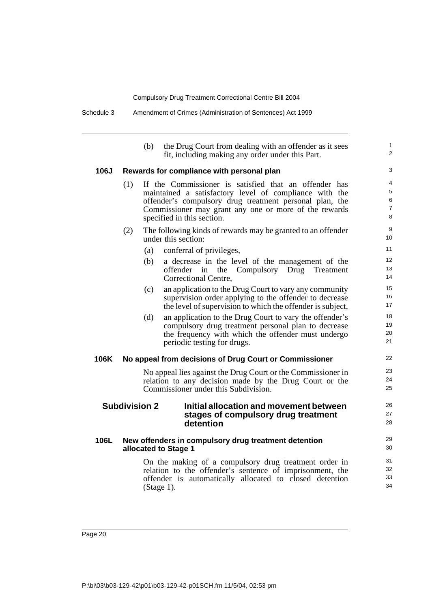|                                                                                                                     |     | (b)<br>the Drug Court from dealing with an offender as it sees<br>fit, including making any order under this Part.                                                                                                                                                | 1<br>$\overline{2}$   |  |  |
|---------------------------------------------------------------------------------------------------------------------|-----|-------------------------------------------------------------------------------------------------------------------------------------------------------------------------------------------------------------------------------------------------------------------|-----------------------|--|--|
| 106J                                                                                                                |     | Rewards for compliance with personal plan                                                                                                                                                                                                                         | 3                     |  |  |
|                                                                                                                     | (1) | If the Commissioner is satisfied that an offender has<br>maintained a satisfactory level of compliance with the<br>offender's compulsory drug treatment personal plan, the<br>Commissioner may grant any one or more of the rewards<br>specified in this section. | 4<br>5<br>6<br>7<br>8 |  |  |
|                                                                                                                     | (2) | The following kinds of rewards may be granted to an offender<br>under this section:                                                                                                                                                                               | 9<br>10               |  |  |
|                                                                                                                     |     | conferral of privileges,<br>(a)                                                                                                                                                                                                                                   | 11                    |  |  |
|                                                                                                                     |     | a decrease in the level of the management of the<br>(b)<br>the Compulsory Drug Treatment<br>offender in<br>Correctional Centre,                                                                                                                                   | 12<br>13<br>14        |  |  |
|                                                                                                                     |     | an application to the Drug Court to vary any community<br>(c)<br>supervision order applying to the offender to decrease<br>the level of supervision to which the offender is subject,                                                                             | 15<br>16<br>17        |  |  |
|                                                                                                                     |     | an application to the Drug Court to vary the offender's<br>(d)<br>compulsory drug treatment personal plan to decrease<br>the frequency with which the offender must undergo<br>periodic testing for drugs.                                                        | 18<br>19<br>20<br>21  |  |  |
| 106K                                                                                                                |     | No appeal from decisions of Drug Court or Commissioner                                                                                                                                                                                                            | 22                    |  |  |
|                                                                                                                     |     | No appeal lies against the Drug Court or the Commissioner in<br>relation to any decision made by the Drug Court or the<br>Commissioner under this Subdivision.                                                                                                    | 23<br>24<br>25        |  |  |
| <b>Subdivision 2</b><br>Initial allocation and movement between<br>stages of compulsory drug treatment<br>detention |     |                                                                                                                                                                                                                                                                   |                       |  |  |
| 106L                                                                                                                |     | New offenders in compulsory drug treatment detention<br>allocated to Stage 1                                                                                                                                                                                      | 29<br>30              |  |  |
|                                                                                                                     |     | On the making of a compulsory drug treatment order in<br>relation to the offender's sentence of imprisonment, the<br>offender is automatically allocated to closed detention<br>(Stage 1).                                                                        | 31<br>32<br>33<br>34  |  |  |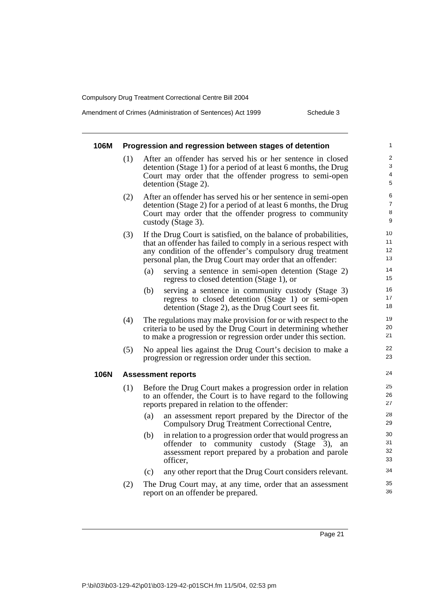| 106M | Progression and regression between stages of detention |                                                                                                                                                                                                                                                               |                                        |  |  |  |  |
|------|--------------------------------------------------------|---------------------------------------------------------------------------------------------------------------------------------------------------------------------------------------------------------------------------------------------------------------|----------------------------------------|--|--|--|--|
|      | (1)                                                    | After an offender has served his or her sentence in closed<br>detention (Stage 1) for a period of at least 6 months, the Drug<br>Court may order that the offender progress to semi-open<br>detention (Stage 2).                                              | $\overline{\mathbf{c}}$<br>3<br>4<br>5 |  |  |  |  |
|      | (2)                                                    | After an offender has served his or her sentence in semi-open<br>detention (Stage 2) for a period of at least 6 months, the Drug<br>Court may order that the offender progress to community<br>custody (Stage 3).                                             | 6<br>7<br>8<br>9                       |  |  |  |  |
|      | (3)                                                    | If the Drug Court is satisfied, on the balance of probabilities,<br>that an offender has failed to comply in a serious respect with<br>any condition of the offender's compulsory drug treatment<br>personal plan, the Drug Court may order that an offender: | 10<br>11<br>12<br>13<br>14             |  |  |  |  |
|      |                                                        | serving a sentence in semi-open detention (Stage 2)<br>(a)<br>regress to closed detention (Stage 1), or                                                                                                                                                       | 15                                     |  |  |  |  |
|      |                                                        | (b)<br>serving a sentence in community custody (Stage 3)<br>regress to closed detention (Stage 1) or semi-open<br>detention (Stage 2), as the Drug Court sees fit.                                                                                            | 16<br>17<br>18                         |  |  |  |  |
|      | (4)                                                    | The regulations may make provision for or with respect to the<br>criteria to be used by the Drug Court in determining whether<br>to make a progression or regression order under this section.                                                                | 19<br>20<br>21                         |  |  |  |  |
|      | (5)                                                    | No appeal lies against the Drug Court's decision to make a<br>progression or regression order under this section.                                                                                                                                             | 22<br>23                               |  |  |  |  |
| 106N |                                                        | <b>Assessment reports</b>                                                                                                                                                                                                                                     | 24                                     |  |  |  |  |
|      | (1)                                                    | Before the Drug Court makes a progression order in relation<br>to an offender, the Court is to have regard to the following<br>reports prepared in relation to the offender:                                                                                  | 25<br>26<br>27                         |  |  |  |  |
|      |                                                        | (a)<br>an assessment report prepared by the Director of the<br><b>Compulsory Drug Treatment Correctional Centre,</b>                                                                                                                                          | 28<br>29                               |  |  |  |  |
|      |                                                        | in relation to a progression order that would progress an<br>(b)<br>offender to community custody (Stage 3),<br>an<br>assessment report prepared by a probation and parole<br>officer,                                                                        | 30<br>31<br>32<br>33                   |  |  |  |  |
|      |                                                        | any other report that the Drug Court considers relevant.<br>(c)                                                                                                                                                                                               | 34                                     |  |  |  |  |
|      | (2)                                                    | The Drug Court may, at any time, order that an assessment<br>report on an offender be prepared.                                                                                                                                                               | 35<br>36                               |  |  |  |  |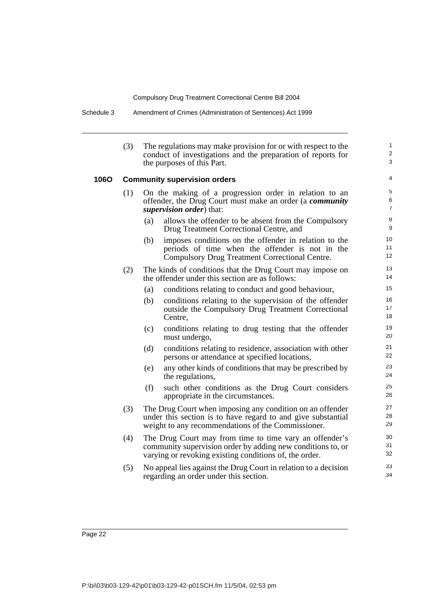Schedule 3 Amendment of Crimes (Administration of Sentences) Act 1999

| (3) | The regulations may make provision for or with respect to the<br>conduct of investigations and the preparation of reports for<br>the purposes of this Part.                     | 1<br>2<br>3                                                                                                                                                                      |                |  |  |  |
|-----|---------------------------------------------------------------------------------------------------------------------------------------------------------------------------------|----------------------------------------------------------------------------------------------------------------------------------------------------------------------------------|----------------|--|--|--|
|     |                                                                                                                                                                                 | <b>Community supervision orders</b>                                                                                                                                              | 4              |  |  |  |
| (1) |                                                                                                                                                                                 | On the making of a progression order in relation to an<br>offender, the Drug Court must make an order (a <i>community</i><br>supervision order) that:                            | 5<br>6<br>7    |  |  |  |
|     | (a)                                                                                                                                                                             | allows the offender to be absent from the Compulsory<br>Drug Treatment Correctional Centre, and                                                                                  | 8<br>9         |  |  |  |
|     | (b)                                                                                                                                                                             | imposes conditions on the offender in relation to the<br>periods of time when the offender is not in the<br>Compulsory Drug Treatment Correctional Centre.                       | 10<br>11<br>12 |  |  |  |
| (2) |                                                                                                                                                                                 | The kinds of conditions that the Drug Court may impose on<br>the offender under this section are as follows:                                                                     | 13<br>14       |  |  |  |
|     | (a)                                                                                                                                                                             | conditions relating to conduct and good behaviour,                                                                                                                               | 15             |  |  |  |
|     | (b)                                                                                                                                                                             | conditions relating to the supervision of the offender<br>outside the Compulsory Drug Treatment Correctional<br>Centre,                                                          | 16<br>17<br>18 |  |  |  |
|     | (c)                                                                                                                                                                             | conditions relating to drug testing that the offender<br>must undergo,                                                                                                           | 19<br>20       |  |  |  |
|     | (d)                                                                                                                                                                             | conditions relating to residence, association with other<br>persons or attendance at specified locations,                                                                        | 21<br>22       |  |  |  |
|     | (e)                                                                                                                                                                             | any other kinds of conditions that may be prescribed by<br>the regulations,                                                                                                      | 23<br>24       |  |  |  |
|     | (f)                                                                                                                                                                             | such other conditions as the Drug Court considers<br>appropriate in the circumstances.                                                                                           | 25<br>26       |  |  |  |
| (3) | The Drug Court when imposing any condition on an offender<br>under this section is to have regard to and give substantial<br>weight to any recommendations of the Commissioner. |                                                                                                                                                                                  |                |  |  |  |
| (4) |                                                                                                                                                                                 | The Drug Court may from time to time vary an offender's<br>community supervision order by adding new conditions to, or<br>varying or revoking existing conditions of, the order. | 30<br>31<br>32 |  |  |  |
| (5) | No appeal lies against the Drug Court in relation to a decision                                                                                                                 |                                                                                                                                                                                  |                |  |  |  |

(5) No appeal lies against the Drug Court in relation to a decision regarding an order under this section.

34

**106O Community supervision orders**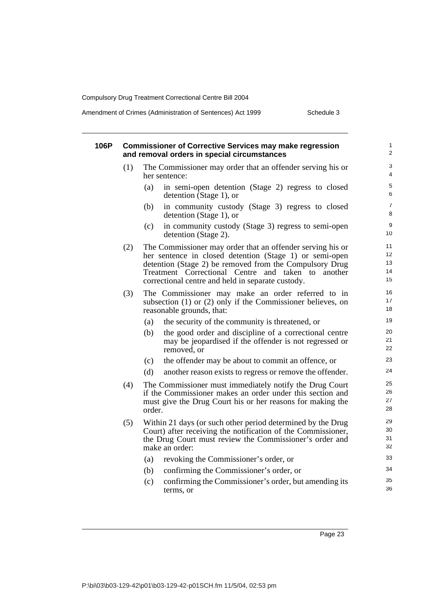| 106P | <b>Commissioner of Corrective Services may make regression</b><br>and removal orders in special circumstances |        |                                                                                                                                                                                                                                                                                                |                            |  |  |  |
|------|---------------------------------------------------------------------------------------------------------------|--------|------------------------------------------------------------------------------------------------------------------------------------------------------------------------------------------------------------------------------------------------------------------------------------------------|----------------------------|--|--|--|
|      | (1)                                                                                                           |        | The Commissioner may order that an offender serving his or<br>her sentence:                                                                                                                                                                                                                    | 3<br>4                     |  |  |  |
|      |                                                                                                               | (a)    | in semi-open detention (Stage 2) regress to closed<br>detention (Stage 1), or                                                                                                                                                                                                                  | $\overline{5}$<br>6        |  |  |  |
|      |                                                                                                               | (b)    | in community custody (Stage 3) regress to closed<br>detention (Stage 1), or                                                                                                                                                                                                                    | $\overline{7}$<br>8        |  |  |  |
|      |                                                                                                               | (c)    | in community custody (Stage 3) regress to semi-open<br>detention (Stage 2).                                                                                                                                                                                                                    | 9<br>10                    |  |  |  |
|      | (2)                                                                                                           |        | The Commissioner may order that an offender serving his or<br>her sentence in closed detention (Stage 1) or semi-open<br>detention (Stage 2) be removed from the Compulsory Drug<br>Treatment Correctional Centre<br>and taken to another<br>correctional centre and held in separate custody. | 11<br>12<br>13<br>14<br>15 |  |  |  |
|      | (3)                                                                                                           |        | The Commissioner may make an order referred to in<br>subsection $(1)$ or $(2)$ only if the Commissioner believes, on<br>reasonable grounds, that:                                                                                                                                              | 16<br>17<br>18             |  |  |  |
|      |                                                                                                               | (a)    | the security of the community is threatened, or                                                                                                                                                                                                                                                | 19                         |  |  |  |
|      |                                                                                                               | (b)    | the good order and discipline of a correctional centre<br>may be jeopardised if the offender is not regressed or<br>removed, or                                                                                                                                                                | 20<br>21<br>22             |  |  |  |
|      |                                                                                                               | (c)    | the offender may be about to commit an offence, or                                                                                                                                                                                                                                             | 23                         |  |  |  |
|      |                                                                                                               | (d)    | another reason exists to regress or remove the offender.                                                                                                                                                                                                                                       | 24                         |  |  |  |
|      | (4)                                                                                                           | order. | The Commissioner must immediately notify the Drug Court<br>if the Commissioner makes an order under this section and<br>must give the Drug Court his or her reasons for making the                                                                                                             | 25<br>26<br>27<br>28       |  |  |  |
|      | (5)                                                                                                           |        | Within 21 days (or such other period determined by the Drug<br>Court) after receiving the notification of the Commissioner,<br>the Drug Court must review the Commissioner's order and<br>make an order:                                                                                       | 29<br>30<br>31<br>32       |  |  |  |
|      |                                                                                                               | (a)    | revoking the Commissioner's order, or                                                                                                                                                                                                                                                          | 33                         |  |  |  |
|      |                                                                                                               | (b)    | confirming the Commissioner's order, or                                                                                                                                                                                                                                                        | 34                         |  |  |  |
|      |                                                                                                               | (c)    | confirming the Commissioner's order, but amending its<br>terms, or                                                                                                                                                                                                                             | 35<br>36                   |  |  |  |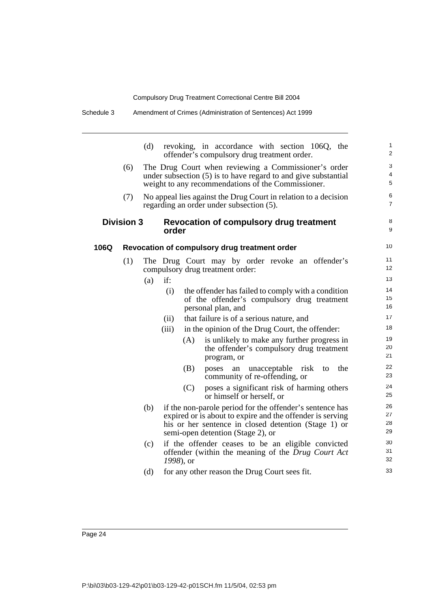|                   |     | (d) |           |     | revoking, in accordance with section 106Q, the<br>offender's compulsory drug treatment order.                                                                                | $\mathbf{1}$<br>$\overline{2}$                   |
|-------------------|-----|-----|-----------|-----|------------------------------------------------------------------------------------------------------------------------------------------------------------------------------|--------------------------------------------------|
|                   | (6) |     |           |     | The Drug Court when reviewing a Commissioner's order<br>under subsection (5) is to have regard to and give substantial<br>weight to any recommendations of the Commissioner. | $\ensuremath{\mathsf{3}}$<br>$\overline{4}$<br>5 |
|                   | (7) |     |           |     | No appeal lies against the Drug Court in relation to a decision<br>regarding an order under subsection (5).                                                                  | 6<br>$\overline{7}$                              |
| <b>Division 3</b> |     |     | order     |     | Revocation of compulsory drug treatment                                                                                                                                      | 8<br>9                                           |
| 106Q              |     |     |           |     | Revocation of compulsory drug treatment order                                                                                                                                | 10                                               |
|                   | (1) |     |           |     | The Drug Court may by order revoke an offender's<br>compulsory drug treatment order:                                                                                         | 11<br>12                                         |
|                   |     | (a) | if:       |     |                                                                                                                                                                              | 13                                               |
|                   |     |     | (i)       |     | the offender has failed to comply with a condition                                                                                                                           | 14                                               |
|                   |     |     |           |     | of the offender's compulsory drug treatment                                                                                                                                  | 15                                               |
|                   |     |     |           |     | personal plan, and                                                                                                                                                           | 16                                               |
|                   |     |     | (ii)      |     | that failure is of a serious nature, and                                                                                                                                     | 17<br>18                                         |
|                   |     |     | (iii)     |     | in the opinion of the Drug Court, the offender:                                                                                                                              |                                                  |
|                   |     |     |           | (A) | is unlikely to make any further progress in<br>the offender's compulsory drug treatment                                                                                      | 19<br>20                                         |
|                   |     |     |           |     | program, or                                                                                                                                                                  | 21                                               |
|                   |     |     |           | (B) | unacceptable risk<br>the<br>poses<br>an<br>to<br>community of re-offending, or                                                                                               | 22<br>23                                         |
|                   |     |     |           | (C) | poses a significant risk of harming others<br>or himself or herself, or                                                                                                      | 24<br>25                                         |
|                   |     | (b) |           |     | if the non-parole period for the offender's sentence has                                                                                                                     | 26                                               |
|                   |     |     |           |     | expired or is about to expire and the offender is serving<br>his or her sentence in closed detention (Stage 1) or                                                            | 27<br>28                                         |
|                   |     |     |           |     | semi-open detention (Stage 2), or                                                                                                                                            | 29                                               |
|                   |     | (c) |           |     | if the offender ceases to be an eligible convicted                                                                                                                           | 30                                               |
|                   |     |     | 1998), or |     | offender (within the meaning of the Drug Court Act                                                                                                                           | 31<br>32                                         |
|                   |     | (d) |           |     | for any other reason the Drug Court sees fit.                                                                                                                                | 33                                               |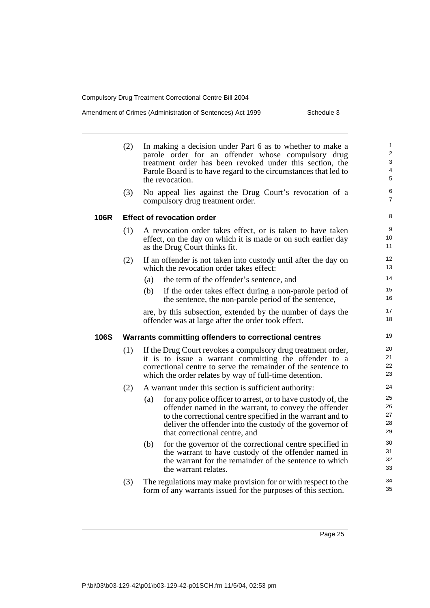## Amendment of Crimes (Administration of Sentences) Act 1999 Schedule 3

|      | (2) | In making a decision under Part 6 as to whether to make a<br>parole order for an offender whose compulsory drug<br>treatment order has been revoked under this section, the<br>Parole Board is to have regard to the circumstances that led to<br>the revocation.                       | $\mathbf{1}$<br>$\overline{2}$<br>3<br>4<br>5 |
|------|-----|-----------------------------------------------------------------------------------------------------------------------------------------------------------------------------------------------------------------------------------------------------------------------------------------|-----------------------------------------------|
|      | (3) | No appeal lies against the Drug Court's revocation of a<br>compulsory drug treatment order.                                                                                                                                                                                             | 6<br>$\overline{7}$                           |
| 106R |     | <b>Effect of revocation order</b>                                                                                                                                                                                                                                                       | 8                                             |
|      | (1) | A revocation order takes effect, or is taken to have taken<br>effect, on the day on which it is made or on such earlier day<br>as the Drug Court thinks fit.                                                                                                                            | 9<br>10<br>11                                 |
|      | (2) | If an offender is not taken into custody until after the day on<br>which the revocation order takes effect:                                                                                                                                                                             | 12<br>13                                      |
|      |     | the term of the offender's sentence, and<br>(a)                                                                                                                                                                                                                                         | 14                                            |
|      |     | (b)<br>if the order takes effect during a non-parole period of<br>the sentence, the non-parole period of the sentence,                                                                                                                                                                  | 15<br>16                                      |
|      |     | are, by this subsection, extended by the number of days the<br>offender was at large after the order took effect.                                                                                                                                                                       | 17<br>18                                      |
| 106S |     | Warrants committing offenders to correctional centres                                                                                                                                                                                                                                   | 19                                            |
|      | (1) | If the Drug Court revokes a compulsory drug treatment order,<br>it is to issue a warrant committing the offender to a<br>correctional centre to serve the remainder of the sentence to<br>which the order relates by way of full-time detention.                                        | 20<br>21<br>22<br>23                          |
|      | (2) | A warrant under this section is sufficient authority:                                                                                                                                                                                                                                   | 24                                            |
|      |     | for any police officer to arrest, or to have custody of, the<br>(a)<br>offender named in the warrant, to convey the offender<br>to the correctional centre specified in the warrant and to<br>deliver the offender into the custody of the governor of<br>that correctional centre, and | 25<br>26<br>27<br>28<br>29                    |
|      |     | (b)<br>for the governor of the correctional centre specified in<br>the warrant to have custody of the offender named in<br>the warrant for the remainder of the sentence to which<br>the warrant relates.                                                                               | 30<br>31<br>32<br>33                          |
|      | (3) | The regulations may make provision for or with respect to the<br>form of any warrants issued for the purposes of this section.                                                                                                                                                          | 34<br>35                                      |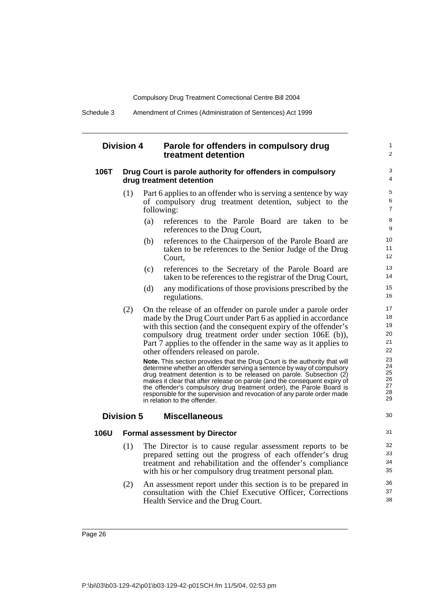#### **Division 4 Parole for offenders in compulsory drug treatment detention**

#### **106T Drug Court is parole authority for offenders in compulsory drug treatment detention**

- (1) Part 6 applies to an offender who is serving a sentence by way of compulsory drug treatment detention, subject to the following:
	- (a) references to the Parole Board are taken to be references to the Drug Court,
	- (b) references to the Chairperson of the Parole Board are taken to be references to the Senior Judge of the Drug Court,
	- (c) references to the Secretary of the Parole Board are taken to be references to the registrar of the Drug Court,
	- (d) any modifications of those provisions prescribed by the regulations.
- (2) On the release of an offender on parole under a parole order made by the Drug Court under Part 6 as applied in accordance with this section (and the consequent expiry of the offender's compulsory drug treatment order under section 106E (b)), Part 7 applies to the offender in the same way as it applies to other offenders released on parole.

**Note.** This section provides that the Drug Court is the authority that will determine whether an offender serving a sentence by way of compulsory drug treatment detention is to be released on parole. Subsection (2) makes it clear that after release on parole (and the consequent expiry of the offender's compulsory drug treatment order), the Parole Board is responsible for the supervision and revocation of any parole order made in relation to the offender.

#### **Division 5 Miscellaneous**

30

1 2

#### **106U Formal assessment by Director**

- (1) The Director is to cause regular assessment reports to be prepared setting out the progress of each offender's drug treatment and rehabilitation and the offender's compliance with his or her compulsory drug treatment personal plan.
- (2) An assessment report under this section is to be prepared in consultation with the Chief Executive Officer, Corrections Health Service and the Drug Court.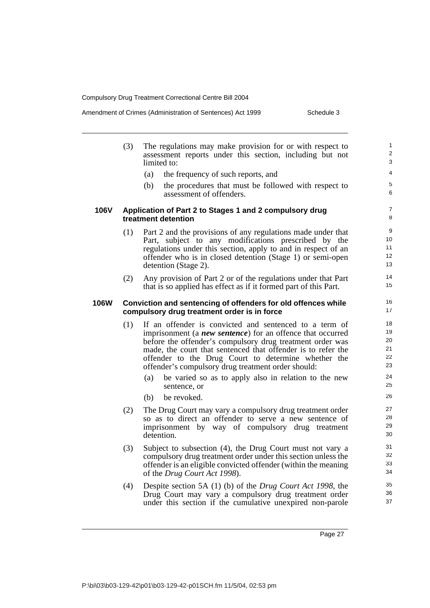|             | (3) | The regulations may make provision for or with respect to<br>assessment reports under this section, including but not<br>limited to:                                                                                                                                                                                                                                   | 1<br>2<br>3                      |
|-------------|-----|------------------------------------------------------------------------------------------------------------------------------------------------------------------------------------------------------------------------------------------------------------------------------------------------------------------------------------------------------------------------|----------------------------------|
|             |     | the frequency of such reports, and<br>(a)                                                                                                                                                                                                                                                                                                                              | 4                                |
|             |     | the procedures that must be followed with respect to<br>(b)<br>assessment of offenders.                                                                                                                                                                                                                                                                                | 5<br>6                           |
| 106V        |     | Application of Part 2 to Stages 1 and 2 compulsory drug<br>treatment detention                                                                                                                                                                                                                                                                                         | $\overline{7}$<br>8              |
|             | (1) | Part 2 and the provisions of any regulations made under that<br>Part, subject to any modifications prescribed by the<br>regulations under this section, apply to and in respect of an<br>offender who is in closed detention (Stage 1) or semi-open<br>detention (Stage 2).                                                                                            | 9<br>10<br>11<br>12<br>13        |
|             | (2) | Any provision of Part 2 or of the regulations under that Part<br>that is so applied has effect as if it formed part of this Part.                                                                                                                                                                                                                                      | 14<br>15                         |
| <b>106W</b> |     | Conviction and sentencing of offenders for old offences while<br>compulsory drug treatment order is in force                                                                                                                                                                                                                                                           | 16<br>17                         |
|             | (1) | If an offender is convicted and sentenced to a term of<br>imprisonment (a <b>new sentence</b> ) for an offence that occurred<br>before the offender's compulsory drug treatment order was<br>made, the court that sentenced that offender is to refer the<br>offender to the Drug Court to determine whether the<br>offender's compulsory drug treatment order should: | 18<br>19<br>20<br>21<br>22<br>23 |
|             |     | (a)<br>be varied so as to apply also in relation to the new<br>sentence, or                                                                                                                                                                                                                                                                                            | 24<br>25                         |
|             |     | be revoked.<br>(b)                                                                                                                                                                                                                                                                                                                                                     | 26                               |
|             | (2) | The Drug Court may vary a compulsory drug treatment order<br>so as to direct an offender to serve a new sentence of<br>imprisonment by way of compulsory drug treatment<br>detention.                                                                                                                                                                                  | 27<br>28<br>29<br>30             |
|             | (3) | Subject to subsection (4), the Drug Court must not vary a<br>compulsory drug treatment order under this section unless the<br>offender is an eligible convicted offender (within the meaning<br>of the Drug Court Act 1998).                                                                                                                                           | 31<br>32<br>33<br>34             |
|             | (4) | Despite section 5A (1) (b) of the <i>Drug Court Act 1998</i> , the<br>Drug Court may vary a compulsory drug treatment order<br>under this section if the cumulative unexpired non-parole                                                                                                                                                                               | 35<br>36<br>37                   |
|             |     |                                                                                                                                                                                                                                                                                                                                                                        |                                  |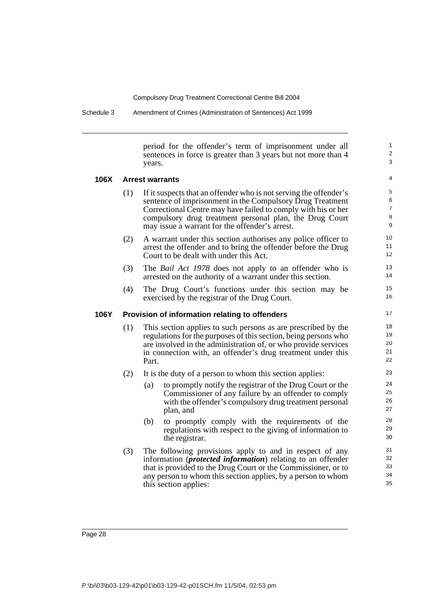Schedule 3 Amendment of Crimes (Administration of Sentences) Act 1999

period for the offender's term of imprisonment under all sentences in force is greater than 3 years but not more than 4 years.

1  $\overline{2}$ 3

#### **106X Arrest warrants**

- (1) If it suspects that an offender who is not serving the offender's sentence of imprisonment in the Compulsory Drug Treatment Correctional Centre may have failed to comply with his or her compulsory drug treatment personal plan, the Drug Court may issue a warrant for the offender's arrest.
- (2) A warrant under this section authorises any police officer to arrest the offender and to bring the offender before the Drug Court to be dealt with under this Act.
- (3) The *Bail Act 1978* does not apply to an offender who is arrested on the authority of a warrant under this section.
- (4) The Drug Court's functions under this section may be exercised by the registrar of the Drug Court.

#### **106Y Provision of information relating to offenders**

- (1) This section applies to such persons as are prescribed by the regulations for the purposes of this section, being persons who are involved in the administration of, or who provide services in connection with, an offender's drug treatment under this Part.
- (2) It is the duty of a person to whom this section applies:
	- (a) to promptly notify the registrar of the Drug Court or the Commissioner of any failure by an offender to comply with the offender's compulsory drug treatment personal plan, and
	- (b) to promptly comply with the requirements of the regulations with respect to the giving of information to the registrar.
- (3) The following provisions apply to and in respect of any information (*protected information*) relating to an offender that is provided to the Drug Court or the Commissioner, or to any person to whom this section applies, by a person to whom this section applies: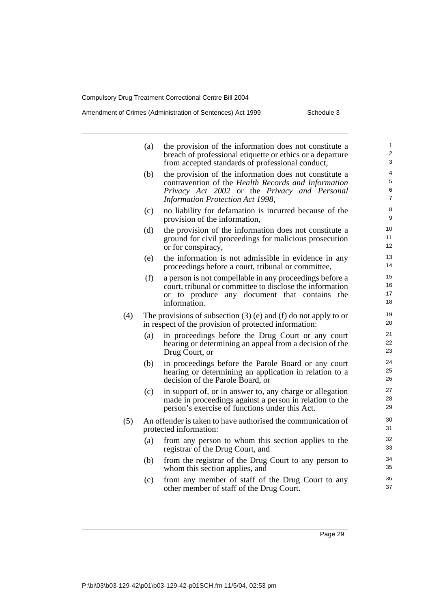|     | (a)                                                                                                                          | the provision of the information does not constitute a<br>breach of professional etiquette or ethics or a departure<br>from accepted standards of professional conduct,                           | 1<br>$\overline{2}$<br>3                            |
|-----|------------------------------------------------------------------------------------------------------------------------------|---------------------------------------------------------------------------------------------------------------------------------------------------------------------------------------------------|-----------------------------------------------------|
|     | (b)                                                                                                                          | the provision of the information does not constitute a<br>contravention of the Health Records and Information<br>Privacy Act 2002 or the Privacy and Personal<br>Information Protection Act 1998, | $\overline{\mathbf{4}}$<br>5<br>6<br>$\overline{7}$ |
|     | (c)                                                                                                                          | no liability for defamation is incurred because of the<br>provision of the information,                                                                                                           | 8<br>9                                              |
|     | (d)                                                                                                                          | the provision of the information does not constitute a<br>ground for civil proceedings for malicious prosecution<br>or for conspiracy,                                                            | 10<br>11<br>12                                      |
|     | (e)                                                                                                                          | the information is not admissible in evidence in any<br>proceedings before a court, tribunal or committee,                                                                                        | 13<br>14                                            |
|     | (f)                                                                                                                          | a person is not compellable in any proceedings before a<br>court, tribunal or committee to disclose the information<br>or to produce<br>any document that contains<br>the<br>information.         | 15<br>16<br>17<br>18                                |
| (4) | The provisions of subsection $(3)$ (e) and $(f)$ do not apply to or<br>in respect of the provision of protected information: |                                                                                                                                                                                                   |                                                     |
|     | (a)                                                                                                                          | in proceedings before the Drug Court or any court<br>hearing or determining an appeal from a decision of the<br>Drug Court, or                                                                    | 21<br>22<br>23                                      |
|     | (b)                                                                                                                          | in proceedings before the Parole Board or any court<br>hearing or determining an application in relation to a<br>decision of the Parole Board, or                                                 | 24<br>25<br>26                                      |
|     | (c)                                                                                                                          | in support of, or in answer to, any charge or allegation<br>made in proceedings against a person in relation to the<br>person's exercise of functions under this Act.                             | 27<br>28<br>29                                      |
| (5) | An offender is taken to have authorised the communication of<br>protected information:                                       |                                                                                                                                                                                                   |                                                     |
|     | (a)                                                                                                                          | from any person to whom this section applies to the<br>registrar of the Drug Court, and                                                                                                           | 32<br>33                                            |
|     | (b)                                                                                                                          | from the registrar of the Drug Court to any person to<br>whom this section applies, and                                                                                                           | 34<br>35                                            |
|     | (c)                                                                                                                          | from any member of staff of the Drug Court to any<br>other member of staff of the Drug Court.                                                                                                     | 36<br>37                                            |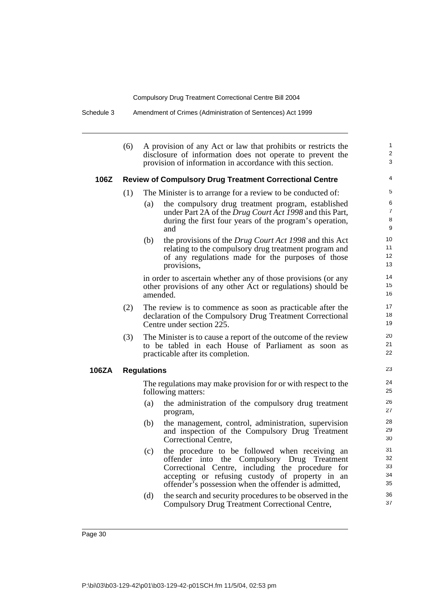Schedule 3 Amendment of Crimes (Administration of Sentences) Act 1999

| (6)<br>(1)               | A provision of any Act or law that prohibits or restricts the<br>disclosure of information does not operate to prevent the<br>provision of information in accordance with this section.<br><b>Review of Compulsory Drug Treatment Correctional Centre</b><br>The Minister is to arrange for a review to be conducted of:<br>the compulsory drug treatment program, established<br>(a)<br>under Part 2A of the <i>Drug Court Act 1998</i> and this Part,<br>during the first four years of the program's operation,<br>and<br>the provisions of the Drug Court Act 1998 and this Act<br>(b)<br>relating to the compulsory drug treatment program and<br>of any regulations made for the purposes of those<br>provisions,<br>in order to ascertain whether any of those provisions (or any<br>other provisions of any other Act or regulations) should be | 1<br>2<br>3<br>4<br>5<br>6<br>7<br>8<br>9<br>10<br>11<br>12<br>13<br>14                                                                                                                                                                                                                                                                                                                                                               |  |  |  |  |
|--------------------------|---------------------------------------------------------------------------------------------------------------------------------------------------------------------------------------------------------------------------------------------------------------------------------------------------------------------------------------------------------------------------------------------------------------------------------------------------------------------------------------------------------------------------------------------------------------------------------------------------------------------------------------------------------------------------------------------------------------------------------------------------------------------------------------------------------------------------------------------------------|---------------------------------------------------------------------------------------------------------------------------------------------------------------------------------------------------------------------------------------------------------------------------------------------------------------------------------------------------------------------------------------------------------------------------------------|--|--|--|--|
|                          |                                                                                                                                                                                                                                                                                                                                                                                                                                                                                                                                                                                                                                                                                                                                                                                                                                                         |                                                                                                                                                                                                                                                                                                                                                                                                                                       |  |  |  |  |
|                          |                                                                                                                                                                                                                                                                                                                                                                                                                                                                                                                                                                                                                                                                                                                                                                                                                                                         |                                                                                                                                                                                                                                                                                                                                                                                                                                       |  |  |  |  |
|                          |                                                                                                                                                                                                                                                                                                                                                                                                                                                                                                                                                                                                                                                                                                                                                                                                                                                         |                                                                                                                                                                                                                                                                                                                                                                                                                                       |  |  |  |  |
|                          |                                                                                                                                                                                                                                                                                                                                                                                                                                                                                                                                                                                                                                                                                                                                                                                                                                                         |                                                                                                                                                                                                                                                                                                                                                                                                                                       |  |  |  |  |
|                          |                                                                                                                                                                                                                                                                                                                                                                                                                                                                                                                                                                                                                                                                                                                                                                                                                                                         |                                                                                                                                                                                                                                                                                                                                                                                                                                       |  |  |  |  |
|                          | amended.                                                                                                                                                                                                                                                                                                                                                                                                                                                                                                                                                                                                                                                                                                                                                                                                                                                | 15<br>16                                                                                                                                                                                                                                                                                                                                                                                                                              |  |  |  |  |
| (2)                      |                                                                                                                                                                                                                                                                                                                                                                                                                                                                                                                                                                                                                                                                                                                                                                                                                                                         | 17<br>18<br>19                                                                                                                                                                                                                                                                                                                                                                                                                        |  |  |  |  |
| (3)                      |                                                                                                                                                                                                                                                                                                                                                                                                                                                                                                                                                                                                                                                                                                                                                                                                                                                         | 20<br>21<br>22                                                                                                                                                                                                                                                                                                                                                                                                                        |  |  |  |  |
| 23<br><b>Regulations</b> |                                                                                                                                                                                                                                                                                                                                                                                                                                                                                                                                                                                                                                                                                                                                                                                                                                                         |                                                                                                                                                                                                                                                                                                                                                                                                                                       |  |  |  |  |
|                          |                                                                                                                                                                                                                                                                                                                                                                                                                                                                                                                                                                                                                                                                                                                                                                                                                                                         | 24<br>25                                                                                                                                                                                                                                                                                                                                                                                                                              |  |  |  |  |
|                          | the administration of the compulsory drug treatment<br>program,                                                                                                                                                                                                                                                                                                                                                                                                                                                                                                                                                                                                                                                                                                                                                                                         | 26<br>27                                                                                                                                                                                                                                                                                                                                                                                                                              |  |  |  |  |
|                          | the management, control, administration, supervision<br>and inspection of the Compulsory Drug Treatment<br>Correctional Centre,                                                                                                                                                                                                                                                                                                                                                                                                                                                                                                                                                                                                                                                                                                                         | 28<br>29<br>30                                                                                                                                                                                                                                                                                                                                                                                                                        |  |  |  |  |
|                          | the procedure to be followed when receiving an<br>offender into the Compulsory Drug Treatment<br>Correctional Centre, including the procedure for<br>accepting or refusing custody of property in an<br>offender's possession when the offender is admitted,                                                                                                                                                                                                                                                                                                                                                                                                                                                                                                                                                                                            | 31<br>32<br>33<br>34<br>35                                                                                                                                                                                                                                                                                                                                                                                                            |  |  |  |  |
|                          | the search and security procedures to be observed in the<br><b>Compulsory Drug Treatment Correctional Centre,</b>                                                                                                                                                                                                                                                                                                                                                                                                                                                                                                                                                                                                                                                                                                                                       | 36<br>37                                                                                                                                                                                                                                                                                                                                                                                                                              |  |  |  |  |
|                          |                                                                                                                                                                                                                                                                                                                                                                                                                                                                                                                                                                                                                                                                                                                                                                                                                                                         | The review is to commence as soon as practicable after the<br>declaration of the Compulsory Drug Treatment Correctional<br>Centre under section 225.<br>The Minister is to cause a report of the outcome of the review<br>to be tabled in each House of Parliament as soon as<br>practicable after its completion.<br>The regulations may make provision for or with respect to the<br>following matters:<br>(a)<br>(b)<br>(c)<br>(d) |  |  |  |  |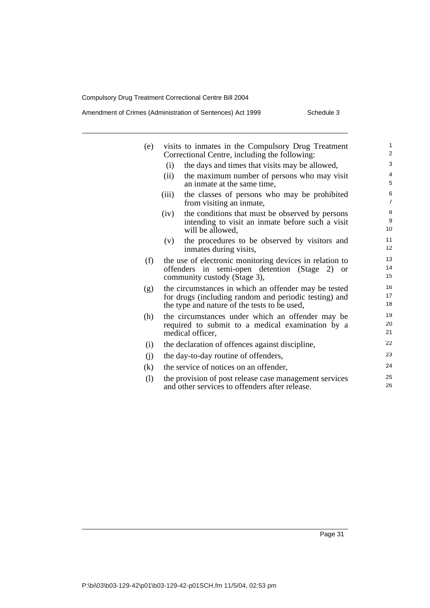| (e) | visits to inmates in the Compulsory Drug Treatment                                | $\mathbf{1}$        |  |
|-----|-----------------------------------------------------------------------------------|---------------------|--|
|     | Correctional Centre, including the following:                                     | 2                   |  |
|     | the days and times that visits may be allowed,<br>(i)                             | 3                   |  |
|     | the maximum number of persons who may visit<br>(ii)                               | $\overline{4}$      |  |
|     | an inmate at the same time,                                                       | 5                   |  |
|     | (iii)<br>the classes of persons who may be prohibited<br>from visiting an inmate, | 6<br>$\overline{7}$ |  |
|     | the conditions that must be observed by persons<br>(iv)                           | 8                   |  |
|     | intending to visit an inmate before such a visit                                  | 9                   |  |
|     | will be allowed,                                                                  | 10                  |  |
|     | the procedures to be observed by visitors and<br>(V)                              | 11                  |  |
|     | inmates during visits,                                                            | 12                  |  |
| (f) | the use of electronic monitoring devices in relation to                           |                     |  |
|     | offenders in semi-open detention (Stage 2) or                                     | 14                  |  |
|     | community custody (Stage 3),                                                      | 15                  |  |
| (g) | the circumstances in which an offender may be tested                              | 16                  |  |
|     | for drugs (including random and periodic testing) and                             | 17                  |  |
|     | the type and nature of the tests to be used,                                      | 18                  |  |
| (h) | the circumstances under which an offender may be                                  | 19                  |  |
|     | required to submit to a medical examination by a                                  | 20                  |  |
|     | medical officer,                                                                  | 21                  |  |
| (i) | the declaration of offences against discipline,                                   | 22                  |  |
| (j) | the day-to-day routine of offenders,                                              | 23                  |  |
| (k) | the service of notices on an offender,                                            | 24                  |  |
| (1) | the provision of post release case management services                            | 25                  |  |
|     | and other services to offenders after release.                                    | 26                  |  |